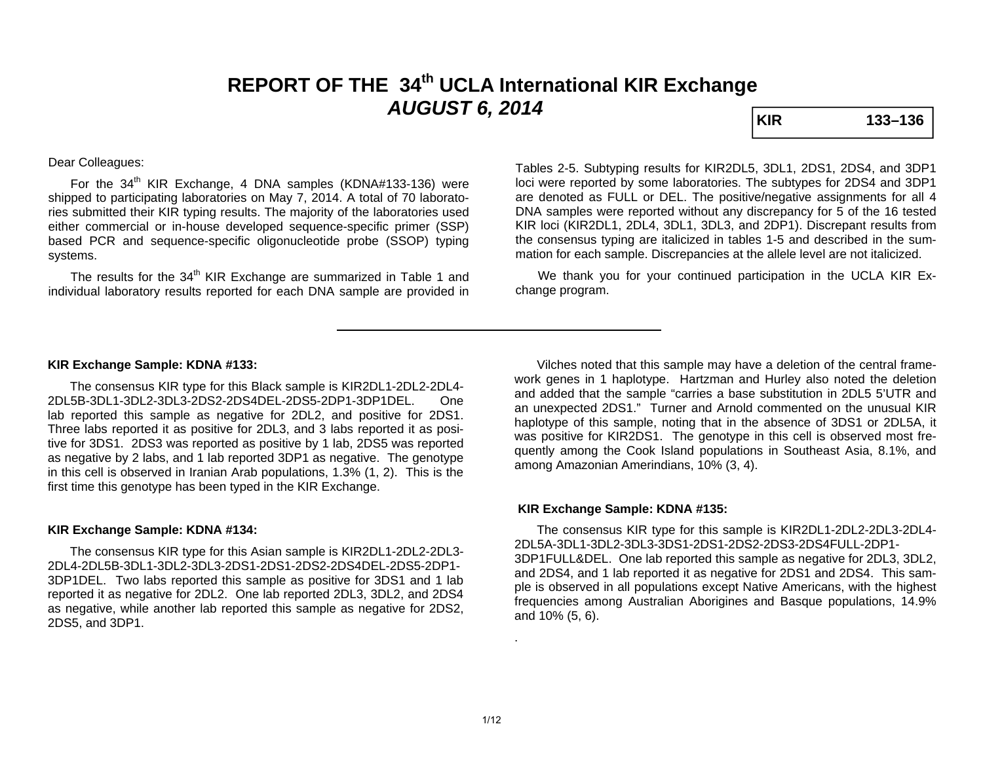# **REPORT OF THE 34th UCLA International KIR Exchange AUGUST 6, 2014 KIR KIR** 133–136

## Dear Colleagues:

For the  $34<sup>th</sup>$  KIR Exchange, 4 DNA samples (KDNA#133-136) were shipped to participating laboratories on May 7, 2014. A total of 70 laboratories submitted their KIR typing results. The majority of the laboratories used either commercial or in-house developed sequence-specific primer (SSP) based PCR and sequence-specific oligonucleotide probe (SSOP) typing systems.

The results for the 34<sup>th</sup> KIR Exchange are summarized in Table 1 and individual laboratory results reported for each DNA sample are provided in

Tables 2-5. Subtyping results for KIR2DL5, 3DL1, 2DS1, 2DS4, and 3DP1 loci were reported by some laboratories. The subtypes for 2DS4 and 3DP1 are denoted as FULL or DEL. The positive/negative assignments for all 4 DNA samples were reported without any discrepancy for 5 of the 16 tested KIR loci (KIR2DL1, 2DL4, 3DL1, 3DL3, and 2DP1). Discrepant results from the consensus typing are italicized in tables 1-5 and described in the summation for each sample. Discrepancies at the allele level are not italicized.

 We thank you for your continued participation in the UCLA KIR Exchange program.

#### **KIR Exchange Sample: KDNA #133:**

 The consensus KIR type for this Black sample is KIR2DL1-2DL2-2DL4- 2DL5B-3DL1-3DL2-3DL3-2DS2-2DS4DEL-2DS5-2DP1-3DP1DEL. One lab reported this sample as negative for 2DL2, and positive for 2DS1. Three labs reported it as positive for 2DL3, and 3 labs reported it as positive for 3DS1. 2DS3 was reported as positive by 1 lab, 2DS5 was reported as negative by 2 labs, and 1 lab reported 3DP1 as negative. The genotype in this cell is observed in Iranian Arab populations, 1.3% (1, 2). This is the first time this genotype has been typed in the KIR Exchange.

#### **KIR Exchange Sample: KDNA #134:**

 The consensus KIR type for this Asian sample is KIR2DL1-2DL2-2DL3- 2DL4-2DL5B-3DL1-3DL2-3DL3-2DS1-2DS1-2DS2-2DS4DEL-2DS5-2DP1-3DP1DEL. Two labs reported this sample as positive for 3DS1 and 1 lab reported it as negative for 2DL2. One lab reported 2DL3, 3DL2, and 2DS4 as negative, while another lab reported this sample as negative for 2DS2, 2DS5, and 3DP1.

 Vilches noted that this sample may have a deletion of the central framework genes in 1 haplotype. Hartzman and Hurley also noted the deletion and added that the sample "carries a base substitution in 2DL5 5'UTR and an unexpected 2DS1." Turner and Arnold commented on the unusual KIR haplotype of this sample, noting that in the absence of 3DS1 or 2DL5A, it was positive for KIR2DS1. The genotype in this cell is observed most frequently among the Cook Island populations in Southeast Asia, 8.1%, and among Amazonian Amerindians, 10% (3, 4).

## **KIR Exchange Sample: KDNA #135:**

 The consensus KIR type for this sample is KIR2DL1-2DL2-2DL3-2DL4- 2DL5A-3DL1-3DL2-3DL3-3DS1-2DS1-2DS2-2DS3-2DS4FULL-2DP1-3DP1FULL&DEL. One lab reported this sample as negative for 2DL3, 3DL2, and 2DS4, and 1 lab reported it as negative for 2DS1 and 2DS4. This sample is observed in all populations except Native Americans, with the highest frequencies among Australian Aborigines and Basque populations, 14.9% and 10% (5, 6).

.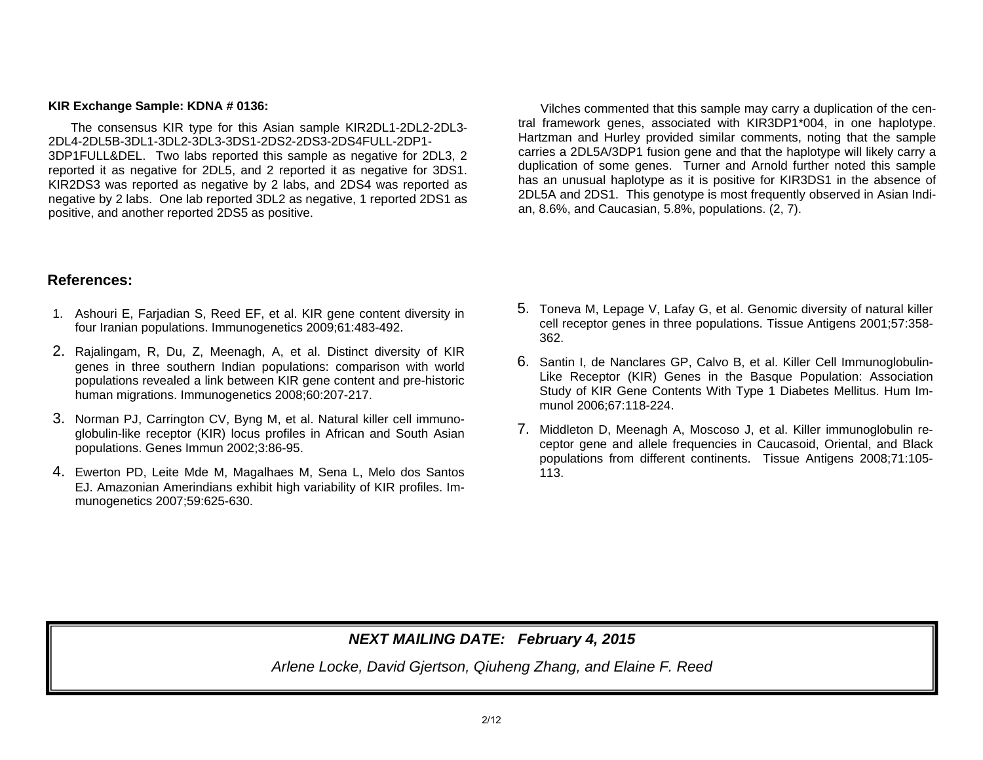### **KIR Exchange Sample: KDNA # 0136:**

The consensus KIR type for this Asian sample KIR2DL1-2DL2-2DL3- 2DL4-2DL5B-3DL1-3DL2-3DL3-3DS1-2DS2-2DS3-2DS4FULL-2DP1-3DP1FULL&DEL. Two labs reported this sample as negative for 2DL3, 2 reported it as negative for 2DL5, and 2 reported it as negative for 3DS1. KIR2DS3 was reported as negative by 2 labs, and 2DS4 was reported as negative by 2 labs. One lab reported 3DL2 as negative, 1 reported 2DS1 as positive, and another reported 2DS5 as positive.

 Vilches commented that this sample may carry a duplication of the central framework genes, associated with KIR3DP1\*004, in one haplotype. Hartzman and Hurley provided similar comments, noting that the sample carries a 2DL5A/3DP1 fusion gene and that the haplotype will likely carry a duplication of some genes. Turner and Arnold further noted this sample has an unusual haplotype as it is positive for KIR3DS1 in the absence of 2DL5A and 2DS1. This genotype is most frequently observed in Asian Indian, 8.6%, and Caucasian, 5.8%, populations. (2, 7).

# **References:**

- 1. Ashouri E, Farjadian S, Reed EF, et al. KIR gene content diversity in four Iranian populations. Immunogenetics 2009;61:483-492.
- 2. Rajalingam, R, Du, Z, Meenagh, A, et al. Distinct diversity of KIR genes in three southern Indian populations: comparison with world populations revealed a link between KIR gene content and pre-historic human migrations. Immunogenetics 2008;60:207-217.
- 3. Norman PJ, Carrington CV, Byng M, et al. Natural killer cell immunoglobulin-like receptor (KIR) locus profiles in African and South Asian populations. Genes Immun 2002;3:86-95.
- 4. Ewerton PD, Leite Mde M, Magalhaes M, Sena L, Melo dos Santos EJ. Amazonian Amerindians exhibit high variability of KIR profiles. Immunogenetics 2007;59:625-630.
- 5. Toneva M, Lepage V, Lafay G, et al. Genomic diversity of natural killer cell receptor genes in three populations. Tissue Antigens 2001;57:358- 362.
- 6. Santin I, de Nanclares GP, Calvo B, et al. Killer Cell Immunoglobulin-Like Receptor (KIR) Genes in the Basque Population: Association Study of KIR Gene Contents With Type 1 Diabetes Mellitus. Hum Immunol 2006;67:118-224.
- 7. Middleton D, Meenagh A, Moscoso J, et al. Killer immunoglobulin receptor gene and allele frequencies in Caucasoid, Oriental, and Black populations from different continents. Tissue Antigens 2008;71:105- 113.

# *NEXT MAILING DATE: February 4, 2015*

*Arlene Locke, David Gjertson, Qiuheng Zhang, and Elaine F. Reed*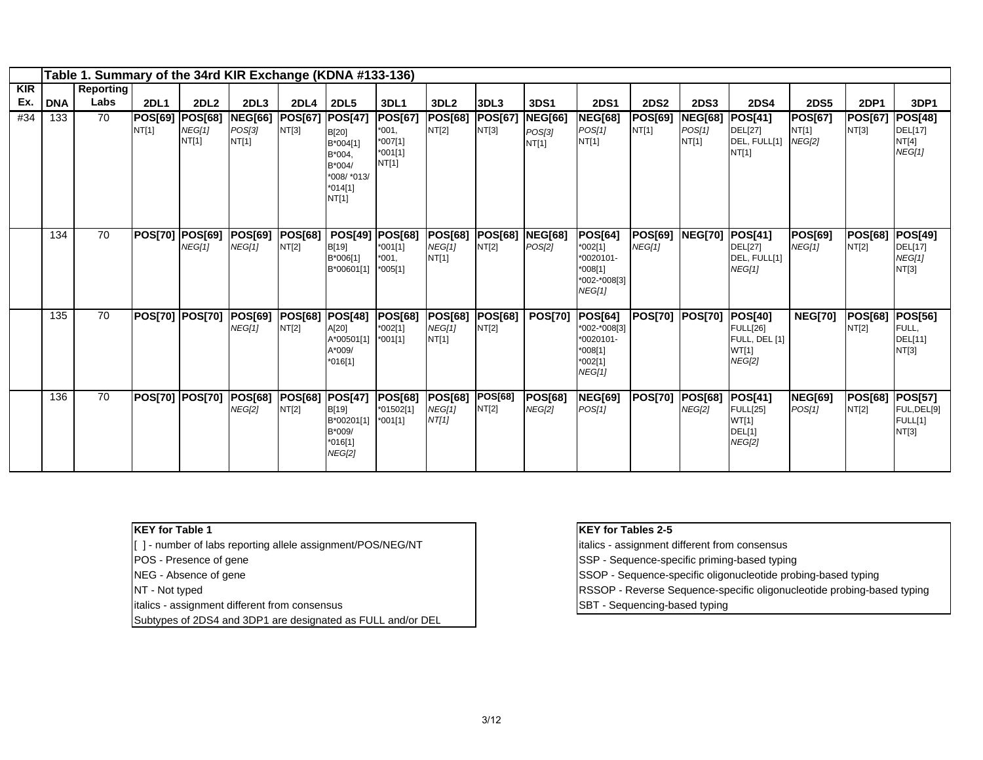|            |                   | Table 1. Summary of the 34rd KIR Exchange (KDNA #133-136) |                                       |                        |                                 |                                    |                                                                             |                                                     |                                    |                         |                                 |                                                                                 |                               |                               |                                                                              |                                 |                               |                                                   |
|------------|-------------------|-----------------------------------------------------------|---------------------------------------|------------------------|---------------------------------|------------------------------------|-----------------------------------------------------------------------------|-----------------------------------------------------|------------------------------------|-------------------------|---------------------------------|---------------------------------------------------------------------------------|-------------------------------|-------------------------------|------------------------------------------------------------------------------|---------------------------------|-------------------------------|---------------------------------------------------|
| <b>KIR</b> |                   | <b>Reporting</b><br>Labs                                  |                                       |                        |                                 |                                    |                                                                             |                                                     |                                    |                         |                                 |                                                                                 |                               |                               |                                                                              |                                 |                               |                                                   |
| Ex.<br>#34 | <b>DNA</b><br>133 | 70                                                        | <b>2DL1</b><br><b>POS[69] POS[68]</b> | 2DL <sub>2</sub>       | 2DL3<br><b>NEG[66]</b>          | 2DL <sub>4</sub><br><b>POS[67]</b> | <b>2DL5</b><br><b>POS[47]</b>                                               | 3DL1<br><b>POS[67]</b>                              | 3DL <sub>2</sub><br><b>POS[68]</b> | 3DL3<br><b>POS[67]</b>  | 3DS1<br><b>NEG[66]</b>          | <b>2DS1</b><br><b>NEG[68]</b>                                                   | <b>2DS2</b><br><b>POS[69]</b> | <b>2DS3</b><br><b>NEG[68]</b> | <b>2DS4</b><br><b>POS[41]</b>                                                | <b>2DS5</b><br><b>POS[67]</b>   | <b>2DP1</b><br><b>POS[67]</b> | 3DP1<br><b>POS[48]</b>                            |
|            |                   |                                                           | NT[1]                                 | <b>NEG[1]</b><br>NT[1] | POS[3]<br>NT[1]                 | NT[3]                              | B[20]<br>B*004[1]<br>B*004,<br>B*004/<br>*008/ *013/<br>$*014[1]$<br>NT[1]  | $*001,$<br>*007[1]<br>$*001[1]$<br>NT[1]            | NT[2]                              | NT[3]                   | POS[3]<br>NT[1]                 | POS[1]<br>NT[1]                                                                 | NT[1]                         | <b>POS[1]</b><br>NT[1]        | <b>DEL[27]</b><br>DEL, FULL[1]<br>NT[1]                                      | NT[1]<br><b>NEG[2]</b>          | NT[3]                         | DEL[17]<br>NT[4]<br>NEG[1]                        |
|            | 134               | 70                                                        | <b>POS[70] POS[69]</b>                | <b>NEG[1]</b>          | <b>POS[69]</b><br>NEG[1]        | <b>POS[68]</b><br>NT[2]            | <b>POS[49]</b><br>B[19]<br>B*006[1]<br>B*00601[1]                           | <b>POS[68]</b><br>$*001[1]$<br>$*001.$<br>$*005[1]$ | <b>POS[68]</b><br>NEG[1]<br>NT[1]  | <b>POS[68]</b><br>NT[2] | <b>NEG[68]</b><br>POS[2]        | <b>POS[64]</b><br>$*002[1]$<br>*0020101-<br>$*008[1]$<br>*002-*008[3]<br>NEG[1] | <b>POS[69]</b><br>NEG[1]      | <b>NEG[70]</b>                | <b>POS[41]</b><br><b>DEL[27]</b><br>DEL, FULL[1]<br>NEG[1]                   | <b>POS[69]</b><br><b>NEG[1]</b> | <b>POS[68]</b><br>NT[2]       | <b>POS[49]</b><br>DEL[17]<br>NEG[1]<br>NT[3]      |
|            | 135               | 70                                                        | POS[70] POS[70]                       |                        | <b>POS[69]</b><br>NEG[1]        | <b>POS[68]</b><br>NT[2]            | <b>POS[48]</b><br>A[20]<br>A*00501[1]<br>A*009/<br>$*016[1]$                | <b>POS[68]</b><br>$*002[1]$<br>*001[1]              | <b>POS[68]</b><br>NEG[1]<br>NT[1]  | <b>POS[68]</b><br>NT[2] | <b>POS[70]</b>                  | <b>POS[64]</b><br>*002-*008[3]<br>*0020101-<br>$*008[1]$<br>*002[1]<br>NEG[1]   | <b>POS[70]</b>                | <b>POS[70]</b>                | <b>POS[40]</b><br><b>FULL[26]</b><br>FULL, DEL [1]<br>WT[1]<br><b>NEG[2]</b> | <b>NEG[70]</b>                  | <b>POS[68]</b><br>NT[2]       | <b>POS[56]</b><br>FULL,<br>DEL[11]<br>NT[3]       |
|            | 136               | 70                                                        | <b>POS[70] POS[70]</b>                |                        | <b>POS[68]</b><br><b>NEG[2]</b> | POS[68]<br>NT[2]                   | <b>POS[47]</b><br><b>B[19]</b><br>B*00201[1]<br>B*009/<br>*016[1]<br>NEG[2] | <b>POS[68]</b><br>*01502[1]<br>*001[1]              | <b>POS[68]</b><br>NEG[1]<br>NT[1]  | <b>POS[68]</b><br>NT[2] | <b>POS[68]</b><br><b>NEG[2]</b> | <b>NEG[69]</b><br>POS[1]                                                        | <b>POS[70]</b>                | <b>POS[68]</b><br>NEG[2]      | <b>POS[41]</b><br><b>FULL[25]</b><br>WT[1]<br>DEL[1]<br><b>NEG[2]</b>        | <b>NEG[69]</b><br>POS[1]        | <b>POS[68]</b><br>NT[2]       | <b>POS[57]</b><br>FUL, DEL[9]<br>FULL[1]<br>NT[3] |

**KEY for Table 1**

[ ] - number of labs reporting allele assignment/POS/NEG/NT | italics - assignment different from consensus

italics - assignment different from consensus SBT - Sequencing-based typing

Subtypes of 2DS4 and 3DP1 are designated as FULL and/or DEL

#### **KEY for Tables 2-5**

POS - Presence of gene Sequence-specific priming-based typing

NEG - Absence of gene SSOP - Sequence-specific oligonucleotide probing-based typing

NT - Not typed **RSSOP** - Reverse Sequence-specific oligonucleotide probing-based typing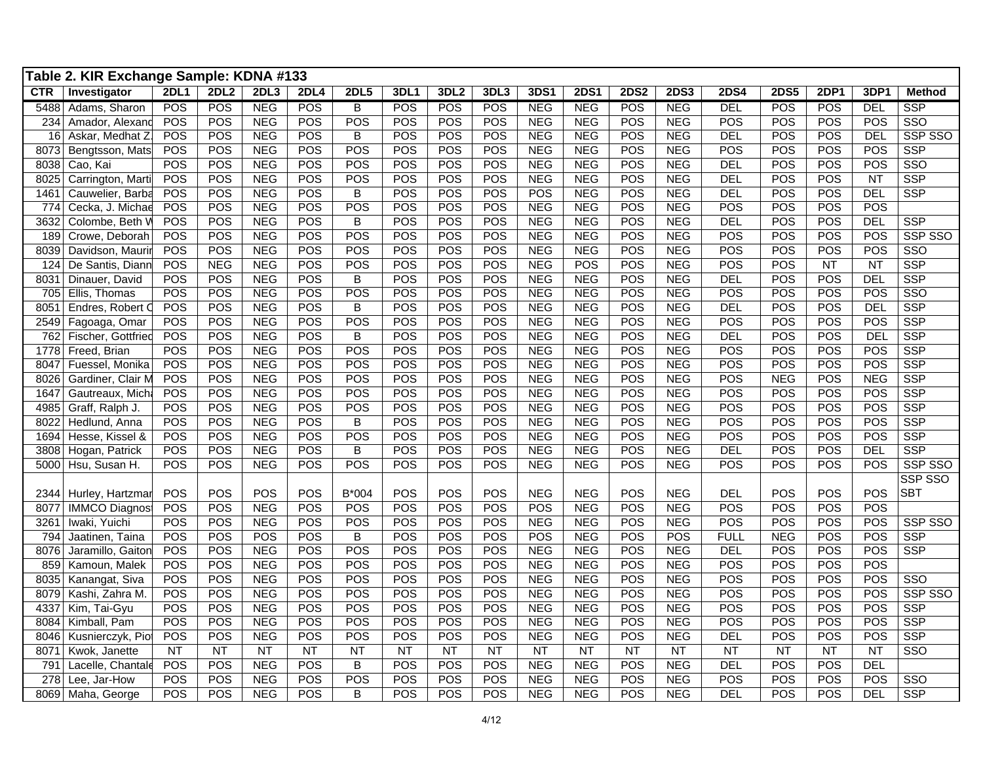|            | Table 2. KIR Exchange Sample: KDNA #133 |             |                 |            |             |                |                 |                  |                 |            |             |                 |             |             |             |            |                  |                         |
|------------|-----------------------------------------|-------------|-----------------|------------|-------------|----------------|-----------------|------------------|-----------------|------------|-------------|-----------------|-------------|-------------|-------------|------------|------------------|-------------------------|
| <b>CTR</b> | Investigator                            | <b>2DL1</b> | <b>2DL2</b>     | 2DL3       | <b>2DL4</b> | <b>2DL5</b>    | 3DL1            | 3DL <sub>2</sub> | 3DL3            | 3DS1       | <b>2DS1</b> | <b>2DS2</b>     | <b>2DS3</b> | <b>2DS4</b> | <b>2DS5</b> | 2DP1       | 3DP <sub>1</sub> | <b>Method</b>           |
| 5488       | Adams, Sharon                           | POS         | POS             | <b>NEG</b> | <b>POS</b>  | $\overline{B}$ | POS             | POS              | POS             | <b>NEG</b> | <b>NEG</b>  | POS             | <b>NEG</b>  | <b>DEL</b>  | POS         | <b>POS</b> | <b>DEL</b>       | <b>SSP</b>              |
| 234        | Amador, Alexand                         | POS         | POS             | <b>NEG</b> | POS         | POS            | POS             | POS              | POS             | <b>NEG</b> | <b>NEG</b>  | POS             | <b>NEG</b>  | POS         | POS         | <b>POS</b> | POS              | SSO                     |
| 16         | Askar, Medhat Z                         | POS         | POS             | <b>NEG</b> | POS         | B              | POS             | POS              | POS             | <b>NEG</b> | <b>NEG</b>  | POS             | <b>NEG</b>  | <b>DEL</b>  | POS         | <b>POS</b> | <b>DEL</b>       | SSP SSO                 |
| 8073       | Bengtsson, Mats                         | POS         | POS             | <b>NEG</b> | POS         | POS            | POS             | POS              | POS             | <b>NEG</b> | <b>NEG</b>  | POS             | <b>NEG</b>  | POS         | POS         | <b>POS</b> | POS              | <b>SSP</b>              |
| 8038       | Cao, Kai                                | POS         | POS             | <b>NEG</b> | POS         | POS            | POS             | POS              | POS             | <b>NEG</b> | <b>NEG</b>  | <b>POS</b>      | <b>NEG</b>  | <b>DEL</b>  | POS         | <b>POS</b> | POS              | SSO                     |
| 8025       | Carrington, Marti                       | POS         | POS             | <b>NEG</b> | POS         | POS            | POS             | POS              | POS             | <b>NEG</b> | <b>NEG</b>  | POS             | <b>NEG</b>  | DEL         | POS         | <b>POS</b> | NT               | <b>SSP</b>              |
| 1461       | Cauwelier, Barba                        | POS         | POS             | <b>NEG</b> | POS         | B              | POS             | POS              | POS             | <b>POS</b> | <b>NEG</b>  | POS             | <b>NEG</b>  | DEL         | POS         | POS        | <b>DEL</b>       | <b>SSP</b>              |
| 774        | Cecka, J. Michae                        | POS         | POS             | <b>NEG</b> | POS         | POS            | POS             | POS              | POS             | <b>NEG</b> | <b>NEG</b>  | POS             | <b>NEG</b>  | POS         | POS         | POS        | POS              |                         |
| 3632       | Colombe, Beth V                         | POS         | POS             | <b>NEG</b> | POS         | B              | POS             | POS              | POS             | <b>NEG</b> | <b>NEG</b>  | <b>POS</b>      | <b>NEG</b>  | DEL         | POS         | <b>POS</b> | <b>DEL</b>       | <b>SSP</b>              |
| 189        | Crowe, Deborah                          | POS         | POS             | <b>NEG</b> | POS         | POS            | POS             | POS              | POS             | <b>NEG</b> | <b>NEG</b>  | POS             | <b>NEG</b>  | POS         | POS         | <b>POS</b> | POS              | SSP SSO                 |
| 8039       | Davidson, Maurir                        | POS         | POS             | <b>NEG</b> | POS         | POS            | POS             | POS              | POS             | <b>NEG</b> | <b>NEG</b>  | POS             | <b>NEG</b>  | POS         | POS         | <b>POS</b> | POS              | SSO                     |
| 124        | De Santis, Diann                        | POS         | <b>NEG</b>      | <b>NEG</b> | POS         | POS            | POS             | POS              | POS             | <b>NEG</b> | POS         | POS             | <b>NEG</b>  | POS         | POS         | <b>NT</b>  | <b>NT</b>        | <b>SSP</b>              |
| 8031       | Dinauer, David                          | POS         | POS             | <b>NEG</b> | POS         | B              | POS             | POS              | POS             | <b>NEG</b> | <b>NEG</b>  | POS             | <b>NEG</b>  | <b>DEL</b>  | POS         | POS        | <b>DEL</b>       | <b>SSP</b>              |
| 705        | Ellis, Thomas                           | POS         | POS             | <b>NEG</b> | POS         | <b>POS</b>     | POS             | POS              | POS             | <b>NEG</b> | <b>NEG</b>  | POS             | <b>NEG</b>  | POS         | POS         | POS        | POS              | SSO                     |
| 8051       | Endres, Robert C                        | POS         | POS             | NEG        | POS         | B              | POS             | POS              | POS             | <b>NEG</b> | <b>NEG</b>  | POS             | <b>NEG</b>  | <b>DEL</b>  | POS         | POS        | <b>DEL</b>       | <b>SSP</b>              |
| 2549       | Fagoaga, Omar                           | POS         | POS             | <b>NEG</b> | POS         | POS            | POS             | POS              | POS             | <b>NEG</b> | <b>NEG</b>  | POS             | <b>NEG</b>  | POS         | POS         | <b>POS</b> | POS              | <b>SSP</b>              |
| 762        | Fischer, Gottfried                      | POS         | POS             | <b>NEG</b> | POS         | B              | POS             | POS              | POS             | <b>NEG</b> | <b>NEG</b>  | POS             | <b>NEG</b>  | <b>DEL</b>  | POS         | POS        | <b>DEL</b>       | <b>SSP</b>              |
| 1778       | Freed, Brian                            | POS         | POS             | <b>NEG</b> | POS         | POS            | POS             | POS              | POS             | <b>NEG</b> | <b>NEG</b>  | POS             | <b>NEG</b>  | POS         | POS         | <b>POS</b> | POS              | <b>SSP</b>              |
| 8047       | Fuessel, Monika                         | POS         | POS             | <b>NEG</b> | POS         | POS            | POS             | POS              | POS             | <b>NEG</b> | <b>NEG</b>  | POS             | <b>NEG</b>  | POS         | POS         | <b>POS</b> | POS              | <b>SSP</b>              |
| 8026       | Gardiner, Clair M                       | POS         | POS             | <b>NEG</b> | POS         | POS            | POS             | POS              | POS             | <b>NEG</b> | <b>NEG</b>  | POS             | <b>NEG</b>  | POS         | <b>NEG</b>  | POS        | <b>NEG</b>       | <b>SSP</b>              |
| 1647       | Gautreaux, Micha                        | POS         | POS             | <b>NEG</b> | POS         | POS            | POS             | POS              | POS             | <b>NEG</b> | <b>NEG</b>  | POS             | <b>NEG</b>  | POS         | POS         | <b>POS</b> | POS              | <b>SSP</b>              |
| 4985       | Graff, Ralph J.                         | POS         | POS             | <b>NEG</b> | POS         | POS            | POS             | POS              | POS             | <b>NEG</b> | <b>NEG</b>  | POS             | <b>NEG</b>  | POS         | POS         | <b>POS</b> | POS              | <b>SSP</b>              |
| 8022       | Hedlund, Anna                           | POS         | POS             | <b>NEG</b> | POS         | B              | POS             | POS              | POS             | <b>NEG</b> | <b>NEG</b>  | POS             | <b>NEG</b>  | POS         | POS         | <b>POS</b> | POS              | <b>SSP</b>              |
| 1694       | Hesse, Kissel &                         | POS         | POS             | <b>NEG</b> | POS         | POS            | POS             | POS              | POS             | <b>NEG</b> | <b>NEG</b>  | POS             | <b>NEG</b>  | POS         | POS         | POS        | POS              | <b>SSP</b>              |
| 3808       | Hogan, Patrick                          | POS         | POS             | <b>NEG</b> | POS         | B              | POS             | POS              | POS             | <b>NEG</b> | <b>NEG</b>  | POS             | <b>NEG</b>  | DEL         | POS         | <b>POS</b> | <b>DEL</b>       | <b>SSP</b>              |
| 5000       | Hsu, Susan H.                           | POS         | POS             | <b>NEG</b> | POS         | POS            | POS             | POS              | POS             | <b>NEG</b> | <b>NEG</b>  | POS             | <b>NEG</b>  | POS         | POS         | POS        | POS              | SSP SSO                 |
|            |                                         |             |                 |            |             |                |                 |                  |                 |            |             |                 |             |             |             |            |                  | SSP SSO                 |
| 2344       | Hurley, Hartzmar                        | POS         | POS             | POS        | POS         | B*004          | POS             | POS              | POS             | <b>NEG</b> | <b>NEG</b>  | <b>POS</b>      | <b>NEG</b>  | <b>DEL</b>  | POS         | POS        | POS              | <b>SBT</b>              |
| 8077       | <b>IMMCO</b> Diagnost                   | POS         | POS             | <b>NEG</b> | POS         | POS            | POS             | POS              | POS             | <b>POS</b> | <b>NEG</b>  | POS             | <b>NEG</b>  | POS         | POS         | <b>POS</b> | POS              |                         |
| 3261       | Iwaki, Yuichi                           | POS         | POS             | <b>NEG</b> | POS         | POS            | POS             | POS              | POS             | <b>NEG</b> | <b>NEG</b>  | POS             | <b>NEG</b>  | POS         | POS         | POS        | POS              | SSP SSO                 |
| 794        | Jaatinen, Taina                         | POS         | POS             | POS        | <b>POS</b>  | B              | POS             | POS              | POS             | <b>POS</b> | <b>NEG</b>  | POS             | <b>POS</b>  | <b>FULL</b> | <b>NEG</b>  | <b>POS</b> | POS              | <b>SSP</b>              |
| 8076       | Jaramillo, Gaiton                       | POS         | POS             | <b>NEG</b> | POS         | POS            | POS             | POS              | POS             | <b>NEG</b> | <b>NEG</b>  | POS             | <b>NEG</b>  | <b>DEL</b>  | POS         | <b>POS</b> | POS              | <b>SSP</b>              |
| 859        | Kamoun, Malek                           | POS         | POS             | <b>NEG</b> | POS         | POS            | POS             | POS              | POS             | <b>NEG</b> | <b>NEG</b>  | POS             | <b>NEG</b>  | POS         | POS         | POS        | POS              |                         |
| 8035       | Kanangat, Siva                          | POS         | POS             | <b>NEG</b> | POS         | POS            | POS             | POS              | POS             | <b>NEG</b> | <b>NEG</b>  | POS             | <b>NEG</b>  | POS         | POS         | POS        | POS              | $\overline{\text{SSO}}$ |
| 8079       | Kashi, Zahra M.                         | POS         | POS             | <b>NEG</b> | POS         | POS            | POS             | POS              | POS             | <b>NEG</b> | <b>NEG</b>  | POS             | <b>NEG</b>  | POS         | POS         | <b>POS</b> | POS              | <b>SSP SSO</b>          |
| 4337       | Kim, Tai-Gyu                            | POS         | POS             | <b>NEG</b> | POS         | POS            | POS             | POS              | POS             | <b>NEG</b> | <b>NEG</b>  | POS             | <b>NEG</b>  | POS         | POS         | <b>POS</b> | POS              | <b>SSP</b>              |
| 8084       | Kimball, Pam                            | POS         | POS             | <b>NEG</b> | POS         | POS            | POS             | POS              | POS             | <b>NEG</b> | <b>NEG</b>  | POS             | <b>NEG</b>  | POS         | POS         | <b>POS</b> | POS              | <b>SSP</b>              |
| 8046       | Kusnierczyk, Pio                        | POS         | POS             | <b>NEG</b> | POS         | POS            | POS             | POS              | POS             | <b>NEG</b> | <b>NEG</b>  | POS             | <b>NEG</b>  | <b>DEL</b>  | POS         | <b>POS</b> | POS              | <b>SSP</b>              |
| 8071       | Kwok, Janette                           | <b>NT</b>   | $\overline{NT}$ | NT         | <b>NT</b>   | NT             | $\overline{NT}$ | NT               | $\overline{NT}$ | <b>NT</b>  | NT          | $\overline{NT}$ | NT          | NT          | NT          | NT         | NT               | SSO                     |
| 791        | Lacelle, Chantale                       | POS         | POS             | <b>NEG</b> | POS         | B              | POS             | POS              | POS             | <b>NEG</b> | <b>NEG</b>  | POS             | <b>NEG</b>  | DEL         | POS         | POS        | <b>DEL</b>       |                         |
| 278        | Lee, Jar-How                            | POS         | POS             | <b>NEG</b> | POS         | POS            | POS             | POS              | POS             | <b>NEG</b> | <b>NEG</b>  | POS             | <b>NEG</b>  | POS         | POS         | <b>POS</b> | POS              | SSO                     |
|            | 8069 Maha, George                       | POS         | POS             | <b>NEG</b> | POS         | B              | POS             | POS              | POS             | <b>NEG</b> | <b>NEG</b>  | POS             | <b>NEG</b>  | <b>DEL</b>  | POS         | POS        | <b>DEL</b>       | <b>SSP</b>              |
|            |                                         |             |                 |            |             |                |                 |                  |                 |            |             |                 |             |             |             |            |                  |                         |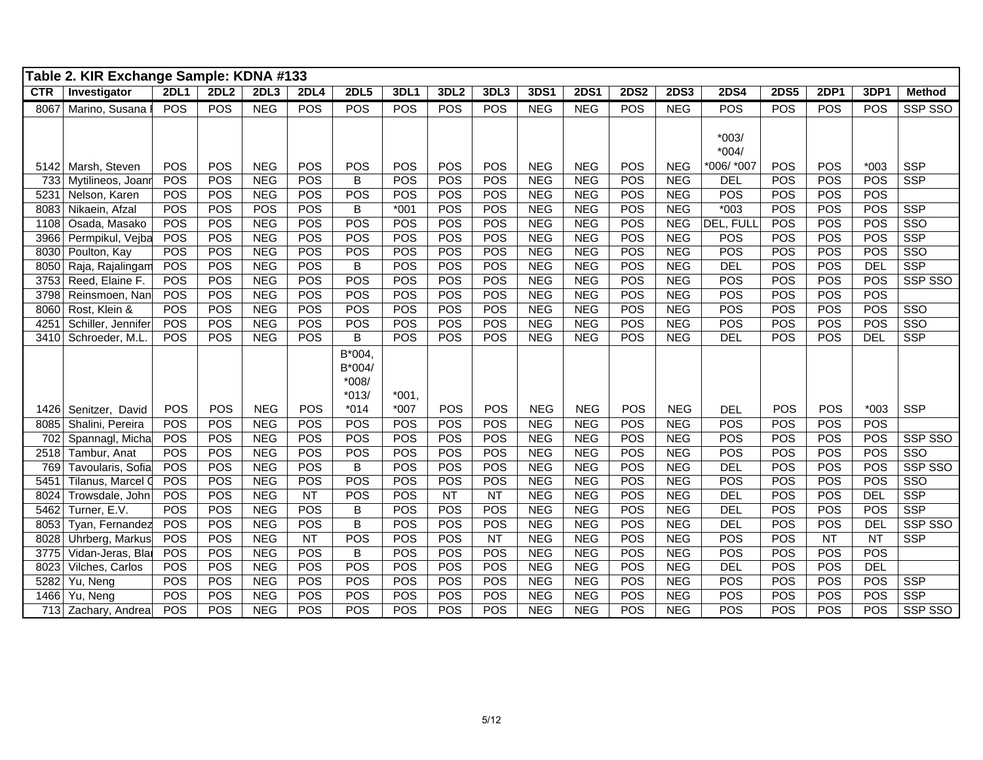|              | Table 2. KIR Exchange Sample: KDNA #133 |             |            |            |                 |                   |                   |           |      |            |                 |                  |             |                   |             |            |                 |               |
|--------------|-----------------------------------------|-------------|------------|------------|-----------------|-------------------|-------------------|-----------|------|------------|-----------------|------------------|-------------|-------------------|-------------|------------|-----------------|---------------|
| <b>CTR</b>   | Investigator                            | <b>2DL1</b> | 2DL2       | 2DL3       | <b>2DL4</b>     | 2DL5              | 3DL1              | 3DL2      | 3DL3 | 3DS1       | 2DS1            | <b>2DS2</b>      | <b>2DS3</b> | <b>2DS4</b>       | <b>2DS5</b> | 2DP1       | 3DP1            | <b>Method</b> |
| 8067         | Marino, Susana                          | POS         | POS        | <b>NEG</b> | POS             | POS               | POS               | POS       | POS  | <b>NEG</b> | <b>NEG</b>      | POS              | <b>NEG</b>  | <b>POS</b>        | POS         | <b>POS</b> | POS             | SSP SSO       |
|              |                                         |             |            |            |                 |                   |                   |           |      |            |                 |                  |             |                   |             |            |                 |               |
|              |                                         |             |            |            |                 |                   |                   |           |      |            |                 |                  |             | $*003/$           |             |            |                 |               |
|              |                                         |             |            |            |                 |                   |                   |           |      |            |                 |                  |             | $*004/$           |             |            |                 |               |
|              | 5142 Marsh, Steven                      | POS         | POS        | <b>NEG</b> | POS             | POS               | POS               | POS       | POS  | <b>NEG</b> | <b>NEG</b>      | POS              | <b>NEG</b>  | *006/ *007        | POS         | <b>POS</b> | $*003$          | <b>SSP</b>    |
| 733          | Mytilineos, Joanr                       | POS         | POS        | <b>NEG</b> | POS             | B                 | POS               | POS       | POS  | <b>NEG</b> | <b>NEG</b>      | POS              | <b>NEG</b>  | <b>DEL</b>        | POS         | POS        | POS             | <b>SSP</b>    |
| 5231         | Nelson, Karen                           | POS         | POS        | <b>NEG</b> | POS             | POS               | POS               | POS       | POS  | <b>NEG</b> | <b>NEG</b>      | POS              | <b>NEG</b>  | POS               | POS         | <b>POS</b> | POS             |               |
| 8083         | Nikaein, Afzal                          | POS         | POS        | <b>POS</b> | POS             | B                 | $*001$            | POS       | POS  | <b>NEG</b> | <b>NEG</b>      | POS              | <b>NEG</b>  | $*003$            | POS         | POS        | POS             | <b>SSP</b>    |
| 1108         | Osada, Masako                           | POS         | POS        | <b>NEG</b> | <b>POS</b>      | POS               | POS               | POS       | POS  | <b>NEG</b> | <b>NEG</b>      | POS              | <b>NEG</b>  | DEL, FULL         | POS         | <b>POS</b> | POS             | SSO           |
| 3966         | Permpikul, Vejba                        | POS         | POS        | <b>NEG</b> | POS             | POS               | POS               | POS       | POS  | <b>NEG</b> | <b>NEG</b>      | POS              | <b>NEG</b>  | POS               | POS         | POS        | POS             | <b>SSP</b>    |
| 8030         | Poulton, Kay                            | POS         | POS        | <b>NEG</b> | POS             | POS               | POS               | POS       | POS  | <b>NEG</b> | <b>NEG</b>      | POS              | <b>NEG</b>  | POS               | POS         | POS        | POS             | SSO           |
| 8050         | Raja, Rajalingam                        | POS         | POS        | <b>NEG</b> | POS             | B                 | POS               | POS       | POS  | <b>NEG</b> | <b>NEG</b>      | POS              | <b>NEG</b>  | DEL               | POS         | POS        | <b>DEL</b>      | <b>SSP</b>    |
| 3753         | Reed, Elaine F.                         | POS         | POS        | <b>NEG</b> | POS             | POS               | POS               | POS       | POS  | <b>NEG</b> | <b>NEG</b>      | $PO\overline{S}$ | <b>NEG</b>  | POS               | POS         | POS        | POS             | SSP SSO       |
| 3798         | Reinsmoen, Nan                          | POS         | POS        | <b>NEG</b> | POS             | $PO\overline{S}$  | POS               | POS       | POS  | <b>NEG</b> | <b>NEG</b>      | POS              | <b>NEG</b>  | POS               | POS         | POS        | POS             |               |
| 8060         | Rost, Klein &                           | POS         | POS        | <b>NEG</b> | POS             | POS               | POS               | POS       | POS  | <b>NEG</b> | <b>NEG</b>      | POS              | <b>NEG</b>  | POS               | POS         | POS        | POS             | SSO           |
| 4251         | Schiller, Jennifer                      | POS         | POS        | <b>NEG</b> | POS             | POS               | POS               | POS       | POS  | NEG        | <b>NEG</b>      | POS              | <b>NEG</b>  | <b>POS</b>        | POS         | POS        | POS             | SSO           |
| 3410         | Schroeder, M.L                          | POS         | POS        | <b>NEG</b> | POS             | B                 | POS               | POS       | POS  | <b>NEG</b> | <b>NEG</b>      | POS              | <b>NEG</b>  | <b>DEL</b>        | POS         | POS        | <b>DEL</b>      | <b>SSP</b>    |
|              |                                         |             |            |            |                 | B*004,            |                   |           |      |            |                 |                  |             |                   |             |            |                 |               |
|              |                                         |             |            |            |                 | B*004/            |                   |           |      |            |                 |                  |             |                   |             |            |                 |               |
|              |                                         |             |            |            |                 | $*008/$           |                   |           |      |            |                 |                  |             |                   |             |            |                 |               |
|              |                                         | POS         | <b>POS</b> | <b>NEG</b> | POS             | $*013/$<br>$*014$ | $*001,$<br>$*007$ | POS       | POS  | <b>NEG</b> | <b>NEG</b>      | <b>POS</b>       | <b>NEG</b>  |                   | <b>POS</b>  | POS        | $*003$          | <b>SSP</b>    |
| 1426<br>8085 | Senitzer, David<br>Shalini, Pereira     | POS         | POS        | <b>NEG</b> | POS             | <b>POS</b>        | POS               | POS       | POS  | <b>NEG</b> | <b>NEG</b>      | POS              | <b>NEG</b>  | <b>DEL</b><br>POS | POS         | <b>POS</b> | POS             |               |
| 702          | Spannagl, Micha                         | POS         | POS        | <b>NEG</b> | POS             | <b>POS</b>        | POS               | POS       | POS  | <b>NEG</b> | <b>NEG</b>      | POS              | <b>NEG</b>  | <b>POS</b>        | POS         | POS        | POS             | SSP SSO       |
| 2518         | Tambur, Anat                            | POS         | POS        | <b>NEG</b> | POS             | POS               | POS               | POS       | POS  | <b>NEG</b> | <b>NEG</b>      | POS              | <b>NEG</b>  | POS               | POS         | POS        | POS             | SSO           |
| 769          | Tavoularis, Sofia                       | POS         | POS        | <b>NEG</b> | POS             | $\overline{B}$    | <b>POS</b>        | POS       | POS  | <b>NEG</b> | <b>NEG</b>      | POS              | <b>NEG</b>  | DEL               | POS         | <b>POS</b> | POS             | SSP SSO       |
| 5451         | Tilanus, Marcel C                       | POS         | POS        | <b>NEG</b> | POS             | POS               | POS               | POS       | POS  | <b>NEG</b> | <b>NEG</b>      | POS              | <b>NEG</b>  | POS               | POS         | POS        | POS             | SSO           |
| 8024         | Trowsdale, John                         | POS         | POS        | <b>NEG</b> | <b>NT</b>       | POS               | POS               | <b>NT</b> | NT   | <b>NEG</b> | <b>NEG</b>      | POS              | <b>NEG</b>  | DEL               | POS         | POS        | <b>DEL</b>      | <b>SSP</b>    |
| 5462         | Turner, E.V.                            | POS         | POS        | <b>NEG</b> | POS             | B                 | POS               | POS       | POS  | <b>NEG</b> | <b>NEG</b>      | POS              | <b>NEG</b>  | <b>DEL</b>        | POS         | POS        | POS             | <b>SSP</b>    |
| 8053         | Tyan, Fernandez                         | POS         | POS        | <b>NEG</b> | POS             | $\overline{B}$    | <b>POS</b>        | POS       | POS  | <b>NEG</b> | <b>NEG</b>      | POS              | <b>NEG</b>  | DEL               | POS         | POS        | DEL             | SSP SSO       |
| 8028         | Uhrberg, Markus                         | POS         | POS        | <b>NEG</b> | $\overline{NT}$ | POS               | POS               | POS       | NT   | <b>NEG</b> | <b>NEG</b>      | POS              | <b>NEG</b>  | <b>POS</b>        | POS         | <b>NT</b>  | $\overline{NT}$ | <b>SSP</b>    |
| 3775         | Vidan-Jeras, Blar                       | POS         | POS        | <b>NEG</b> | POS             | B                 | POS               | POS       | POS  | <b>NEG</b> | NE <sub>G</sub> | POS              | <b>NEG</b>  | POS               | POS         | POS        | POS             |               |
| 8023         | Vilches, Carlos                         | POS         | POS        | <b>NEG</b> | POS             | POS               | POS               | POS       | POS  | <b>NEG</b> | NEG             | POS              | <b>NEG</b>  | <b>DEL</b>        | POS         | POS        | DEL             |               |
| 5282         | Yu, Neng                                | POS         | POS        | <b>NEG</b> | POS             | POS               | POS               | POS       | POS  | <b>NEG</b> | <b>NEG</b>      | POS              | <b>NEG</b>  | <b>POS</b>        | POS         | <b>POS</b> | POS             | <b>SSP</b>    |
| 1466         | Yu, Neng                                | POS         | POS        | <b>NEG</b> | POS             | POS               | POS               | POS       | POS  | <b>NEG</b> | <b>NEG</b>      | POS              | <b>NEG</b>  | <b>POS</b>        | POS         | POS        | POS             | <b>SSP</b>    |
|              | 713 Zachary, Andrea                     | POS         | POS        | <b>NEG</b> | POS             | POS               | POS               | POS       | POS  | <b>NEG</b> | <b>NEG</b>      | POS              | <b>NEG</b>  | POS               | POS         | POS        | POS             | SSP SSO       |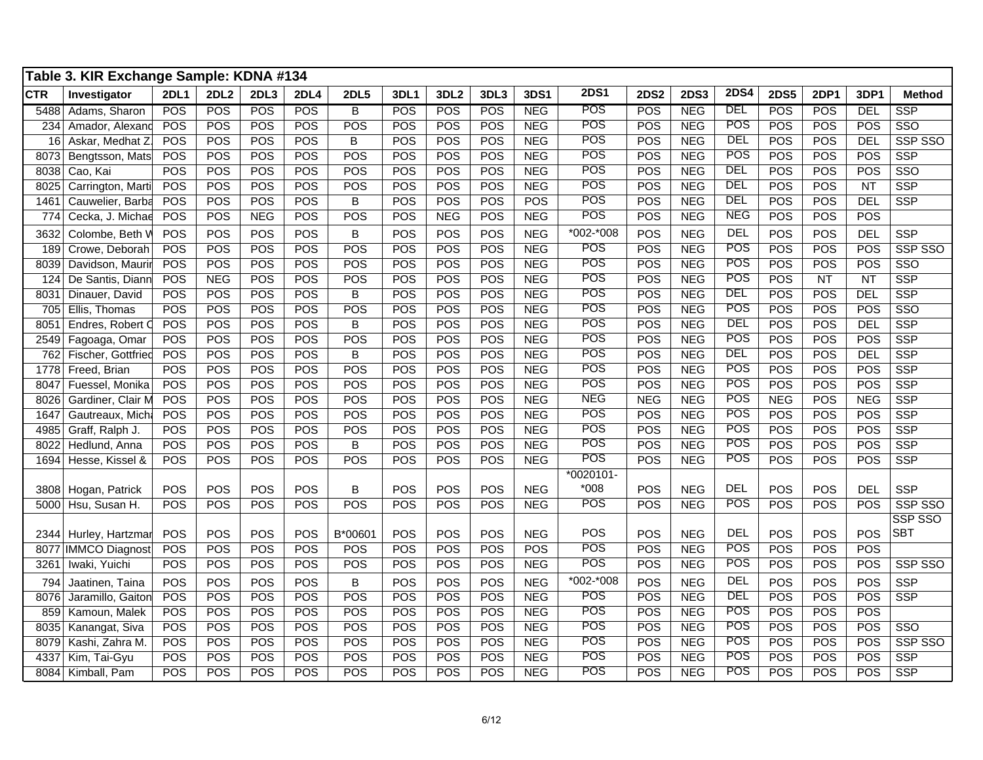|            | Table 3. KIR Exchange Sample: KDNA #134 |             |             |            |             |                |             |                  |            |            |             |             |             |             |             |             |                 |                |
|------------|-----------------------------------------|-------------|-------------|------------|-------------|----------------|-------------|------------------|------------|------------|-------------|-------------|-------------|-------------|-------------|-------------|-----------------|----------------|
| <b>CTR</b> | Investigator                            | <b>2DL1</b> | <b>2DL2</b> | 2DL3       | <b>2DL4</b> | <b>2DL5</b>    | <b>3DL1</b> | 3DL <sub>2</sub> | 3DL3       | 3DS1       | <b>2DS1</b> | <b>2DS2</b> | <b>2DS3</b> | <b>2DS4</b> | <b>2DS5</b> | <b>2DP1</b> | 3DP1            | <b>Method</b>  |
| 5488       | Adams, Sharon                           | POS         | <b>POS</b>  | <b>POS</b> | <b>POS</b>  | В              | POS         | POS              | POS        | <b>NEG</b> | POS         | POS         | <b>NEG</b>  | DEL         | <b>POS</b>  | <b>POS</b>  | <b>DEL</b>      | SSP            |
| 234        | Amador, Alexand                         | POS         | <b>POS</b>  | POS        | <b>POS</b>  | POS            | POS         | POS              | POS        | <b>NEG</b> | <b>POS</b>  | <b>POS</b>  | <b>NEG</b>  | <b>POS</b>  | POS         | POS         | POS             | SSO            |
| 16         | Askar, Medhat Z.                        | POS         | POS         | POS        | POS         | B              | POS         | POS              | POS        | <b>NEG</b> | POS         | POS         | <b>NEG</b>  | <b>DEL</b>  | POS         | POS         | <b>DEL</b>      | <b>SSP SSO</b> |
| 8073       | Bengtsson, Mats                         | POS         | <b>POS</b>  | <b>POS</b> | POS         | <b>POS</b>     | POS         | POS              | <b>POS</b> | <b>NEG</b> | POS         | POS         | <b>NEG</b>  | POS         | POS         | POS         | POS             | <b>SSP</b>     |
| 8038       | Cao, Kai                                | POS         | POS         | POS        | POS         | POS            | POS         | POS              | POS        | <b>NEG</b> | POS         | POS         | <b>NEG</b>  | <b>DEL</b>  | POS         | POS         | POS             | SSO            |
| 8025       | Carrington, Marti                       | POS         | POS         | POS        | POS         | POS            | POS         | POS              | POS        | <b>NEG</b> | POS         | POS         | <b>NEG</b>  | DEL         | <b>POS</b>  | POS         | $\overline{NT}$ | <b>SSP</b>     |
| 1461       | Cauwelier, Barba                        | POS         | POS         | <b>POS</b> | POS         | B              | POS         | POS              | POS        | <b>POS</b> | POS         | POS         | <b>NEG</b>  | DEL         | POS         | <b>POS</b>  | <b>DEL</b>      | <b>SSP</b>     |
| 774        | Cecka, J. Michae                        | POS         | POS         | <b>NEG</b> | POS         | POS            | POS         | <b>NEG</b>       | POS        | <b>NEG</b> | POS         | POS         | <b>NEG</b>  | <b>NEG</b>  | POS         | POS         | POS             |                |
| 3632       | Colombe, Beth V                         | POS         | POS         | POS        | POS         | B              | POS         | POS              | POS        | <b>NEG</b> | *002-*008   | POS         | <b>NEG</b>  | <b>DEL</b>  | POS         | POS         | <b>DEL</b>      | <b>SSP</b>     |
| 189        | Crowe, Deborah                          | POS         | POS         | POS        | POS         | POS            | POS         | POS              | POS        | <b>NEG</b> | <b>POS</b>  | POS         | <b>NEG</b>  | <b>POS</b>  | POS         | POS         | POS             | SSP SSO        |
| 8039       | Davidson, Maurir                        | POS         | POS         | POS        | POS         | POS            | POS         | POS              | POS        | <b>NEG</b> | POS         | POS         | <b>NEG</b>  | POS         | POS         | POS         | POS             | SSO            |
| 124        | De Santis, Diann                        | POS         | <b>NEG</b>  | POS        | POS         | POS            | POS         | POS              | POS        | <b>NEG</b> | POS         | POS         | <b>NEG</b>  | POS         | POS         | <b>NT</b>   | <b>NT</b>       | <b>SSP</b>     |
| 8031       | Dinauer, David                          | POS         | POS         | POS        | POS         | B              | POS         | POS              | POS        | <b>NEG</b> | POS         | POS         | <b>NEG</b>  | <b>DEL</b>  | POS         | POS         | <b>DEL</b>      | <b>SSP</b>     |
| 705        | Ellis, Thomas                           | POS         | POS         | POS        | <b>POS</b>  | POS            | POS         | POS              | POS        | <b>NEG</b> | POS         | POS         | <b>NEG</b>  | POS         | POS         | POS         | POS             | SSO            |
| 8051       | Endres, Robert C                        | POS         | <b>POS</b>  | POS        | <b>POS</b>  | B              | POS         | POS              | POS        | <b>NEG</b> | POS         | <b>POS</b>  | <b>NEG</b>  | DEL         | POS         | POS         | DEL             | <b>SSP</b>     |
| 2549       | Fagoaga, Omar                           | POS         | POS         | POS        | POS         | POS            | POS         | POS              | POS        | <b>NEG</b> | POS         | <b>POS</b>  | <b>NEG</b>  | POS         | POS         | POS         | POS             | <b>SSP</b>     |
| 762        | Fischer, Gottfried                      | POS         | POS         | POS        | POS         | B              | POS         | POS              | POS        | <b>NEG</b> | POS         | POS         | <b>NEG</b>  | <b>DEL</b>  | POS         | POS         | <b>DEL</b>      | <b>SSP</b>     |
| 1778       | Freed, Brian                            | POS         | POS         | POS        | POS         | POS            | POS         | POS              | POS        | <b>NEG</b> | POS         | POS         | <b>NEG</b>  | POS         | POS         | POS         | POS             | <b>SSP</b>     |
| 8047       | Fuessel, Monika                         | POS         | <b>POS</b>  | POS        | <b>POS</b>  | POS            | POS         | POS              | POS        | <b>NEG</b> | POS         | <b>POS</b>  | <b>NEG</b>  | POS         | POS         | POS         | POS             | <b>SSP</b>     |
| 8026       | Gardiner, Clair M                       | POS         | POS         | POS        | <b>POS</b>  | POS            | POS         | POS              | POS        | <b>NEG</b> | <b>NEG</b>  | <b>NEG</b>  | <b>NEG</b>  | POS         | <b>NEG</b>  | POS         | <b>NEG</b>      | <b>SSP</b>     |
| 1647       | Gautreaux, Michi                        | POS         | <b>POS</b>  | POS        | <b>POS</b>  | POS            | POS         | POS              | POS        | <b>NEG</b> | POS         | <b>POS</b>  | <b>NEG</b>  | POS         | POS         | POS         | POS             | <b>SSP</b>     |
| 4985       | Graff, Ralph J.                         | POS         | POS         | POS        | POS         | POS            | POS         | POS              | POS        | <b>NEG</b> | POS         | POS         | <b>NEG</b>  | <b>POS</b>  | POS         | POS         | POS             | <b>SSP</b>     |
| 8022       | Hedlund, Anna                           | POS         | POS         | <b>POS</b> | <b>POS</b>  | $\overline{B}$ | POS         | POS              | POS        | NEG        | POS         | POS         | <b>NEG</b>  | POS         | POS         | POS         | POS             | <b>SSP</b>     |
|            | 1694 Hesse, Kissel &                    | POS         | POS         | POS        | POS         | POS            | POS         | POS              | POS        | <b>NEG</b> | POS         | POS         | <b>NEG</b>  | <b>POS</b>  | POS         | POS         | POS             | <b>SSP</b>     |
|            |                                         |             |             |            |             |                |             |                  |            |            | $*0020101-$ |             |             |             |             |             |                 |                |
|            | 3808 Hogan, Patrick                     | POS         | POS         | POS        | POS         | В              | POS         | POS              | POS        | <b>NEG</b> | $*008$      | <b>POS</b>  | <b>NEG</b>  | <b>DEL</b>  | POS         | POS         | <b>DEL</b>      | <b>SSP</b>     |
|            | 5000 Hsu, Susan H.                      | POS         | POS         | POS        | <b>POS</b>  | POS            | POS         | POS              | POS        | <b>NEG</b> | POS         | <b>POS</b>  | <b>NEG</b>  | POS         | POS         | POS         | <b>POS</b>      | SSP SSO        |
|            |                                         |             |             |            |             |                |             |                  |            |            |             |             |             |             |             |             |                 | SSP SSO        |
|            | 2344 Hurley, Hartzmar                   | POS         | POS         | POS        | <b>POS</b>  | B*00601        | POS         | POS              | POS        | <b>NEG</b> | POS         | POS         | <b>NEG</b>  | <b>DEL</b>  | POS         | POS         | POS             | <b>SBT</b>     |
|            | 8077 IMMCO Diagnost                     | POS         | <b>POS</b>  | POS        | <b>POS</b>  | <b>POS</b>     | POS         | POS              | POS        | POS        | POS         | POS         | <b>NEG</b>  | POS         | POS         | POS         | POS             |                |
| 3261       | Iwaki, Yuichi                           | POS         | POS         | <b>POS</b> | POS         | POS            | POS         | POS              | POS        | <b>NEG</b> | POS         | POS         | <b>NEG</b>  | <b>POS</b>  | POS         | POS         | POS             | SSP SSO        |
| 794        | Jaatinen, Taina                         | POS         | <b>POS</b>  | POS        | <b>POS</b>  | B              | POS         | POS              | POS        | <b>NEG</b> | *002-*008   | POS         | <b>NEG</b>  | <b>DEL</b>  | POS         | POS         | POS             | <b>SSP</b>     |
| 8076       | Jaramillo, Gaiton                       | POS         | <b>POS</b>  | POS        | <b>POS</b>  | <b>POS</b>     | POS         | POS              | POS        | NEG        | POS         | POS         | <b>NEG</b>  | DEL         | POS         | POS         | POS             | <b>SSP</b>     |
| 859        | Kamoun, Malek                           | POS         | POS         | POS        | POS         | POS            | POS         | POS              | POS        | <b>NEG</b> | POS         | POS         | <b>NEG</b>  | POS         | POS         | POS         | POS             |                |
| 8035       | Kanangat, Siva                          | POS         | <b>POS</b>  | POS        | POS         | <b>POS</b>     | POS         | POS              | POS        | <b>NEG</b> | POS         | <b>POS</b>  | <b>NEG</b>  | <b>POS</b>  | POS         | POS         | POS             | SSO            |
| 8079       | Kashi, Zahra M.                         | POS         | POS         | <b>POS</b> | POS         | <b>POS</b>     | POS         | POS              | POS        | <b>NEG</b> | POS         | <b>POS</b>  | <b>NEG</b>  | <b>POS</b>  | POS         | POS         | POS             | SSP SSO        |
| 4337       | Kim, Tai-Gyu                            | POS         | POS         | <b>POS</b> | POS         | POS            | POS         | POS              | POS        | <b>NEG</b> | POS         | POS         | <b>NEG</b>  | POS         | POS         | POS         | POS             | <b>SSP</b>     |
|            | 8084 Kimball, Pam                       | POS         | POS         | POS        | POS         | POS            | POS         | POS              | POS        | <b>NEG</b> | POS         | POS         | <b>NEG</b>  | POS         | POS         | POS         | POS             | <b>SSP</b>     |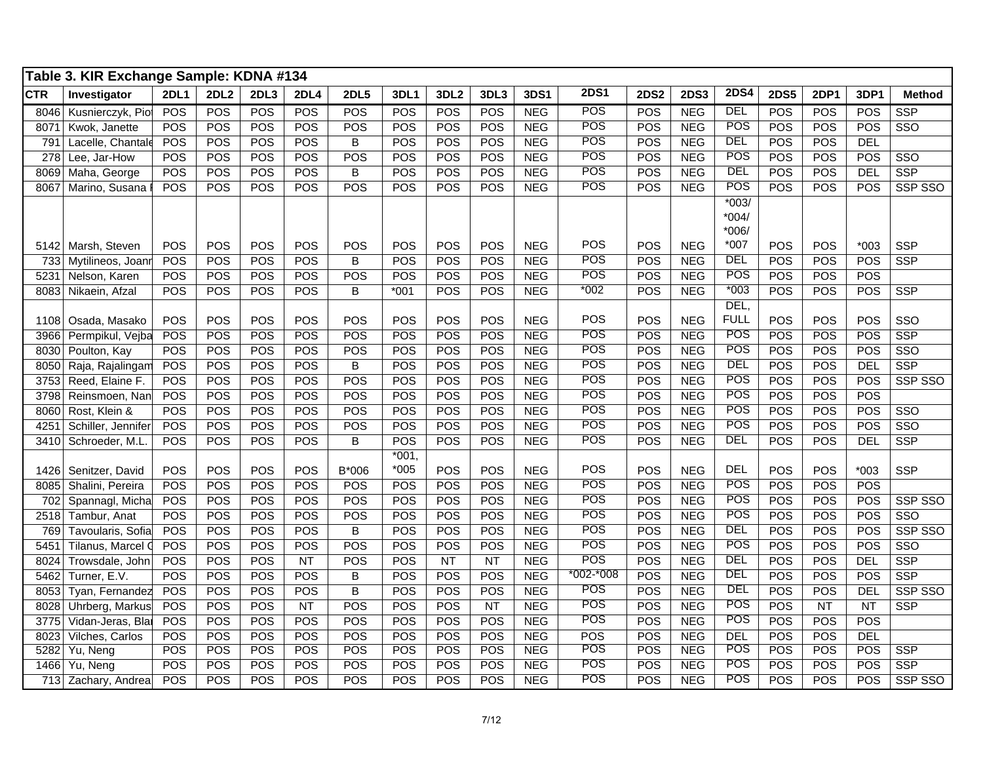|            | Table 3. KIR Exchange Sample: KDNA #134 |             |             |            |             |                |             |           |           |            |               |             |             |             |             |             |            |                |
|------------|-----------------------------------------|-------------|-------------|------------|-------------|----------------|-------------|-----------|-----------|------------|---------------|-------------|-------------|-------------|-------------|-------------|------------|----------------|
| <b>CTR</b> | Investigator                            | <b>2DL1</b> | <b>2DL2</b> | 2DL3       | <b>2DL4</b> | <b>2DL5</b>    | <b>3DL1</b> | 3DL2      | 3DL3      | 3DS1       | <b>2DS1</b>   | <b>2DS2</b> | <b>2DS3</b> | <b>2DS4</b> | <b>2DS5</b> | <b>2DP1</b> | 3DP1       | <b>Method</b>  |
| 8046       | Kusnierczyk, Pio                        | POS         | POS         | POS        | POS         | POS            | POS         | POS       | POS       | <b>NEG</b> | POS           | POS         | <b>NEG</b>  | DEL         | POS         | POS         | POS        | <b>SSP</b>     |
| 8071       | Kwok, Janette                           | POS         | POS         | POS        | <b>POS</b>  | POS            | POS         | POS       | POS       | <b>NEG</b> | POS           | <b>POS</b>  | <b>NEG</b>  | POS         | POS         | POS         | POS        | SSO            |
| 791        | Lacelle, Chantale                       | POS         | POS         | POS        | <b>POS</b>  | $\overline{B}$ | POS         | POS       | POS       | <b>NEG</b> | <b>POS</b>    | POS         | <b>NEG</b>  | DEL         | POS         | POS         | <b>DEL</b> |                |
| 278        | Lee, Jar-How                            | POS         | POS         | POS        | <b>POS</b>  | POS            | POS         | POS       | POS       | <b>NEG</b> | POS           | POS         | <b>NEG</b>  | <b>POS</b>  | POS         | POS         | POS        | SSO            |
| 8069       | Maha, George                            | POS         | POS         | POS        | POS         | $\overline{B}$ | POS         | POS       | POS       | <b>NEG</b> | POS           | POS         | <b>NEG</b>  | <b>DEL</b>  | POS         | POS         | <b>DEL</b> | <b>SSP</b>     |
| 8067       | Marino, Susana                          | POS         | POS         | <b>POS</b> | <b>POS</b>  | POS            | POS         | POS       | POS       | <b>NEG</b> | POS           | POS         | <b>NEG</b>  | POS         | POS         | POS         | POS        | SSP SSO        |
|            |                                         |             |             |            |             |                |             |           |           |            |               |             |             | $*003/$     |             |             |            |                |
|            |                                         |             |             |            |             |                |             |           |           |            |               |             |             | $*004/$     |             |             |            |                |
|            |                                         |             |             |            |             |                |             |           |           |            |               |             |             | $*006/$     |             |             |            |                |
|            | 5142 Marsh, Steven                      | POS         | POS         | POS        | POS         | POS            | POS         | POS       | POS       | <b>NEG</b> | <b>POS</b>    | POS         | <b>NEG</b>  | $*007$      | POS         | POS         | $*003$     | <b>SSP</b>     |
| 733        | Mytilineos, Joan                        | POS         | POS         | POS        | <b>POS</b>  | $\overline{B}$ | POS         | POS       | POS       | NEG        | <b>POS</b>    | POS         | <b>NEG</b>  | <b>DEL</b>  | POS         | POS         | POS        | <b>SSP</b>     |
| 5231       | Nelson, Karen                           | <b>POS</b>  | POS         | POS        | <b>POS</b>  | POS            | POS         | POS       | POS       | <b>NEG</b> | POS           | <b>POS</b>  | <b>NEG</b>  | POS         | POS         | POS         | POS        |                |
| 8083       | Nikaein, Afzal                          | POS         | POS         | <b>POS</b> | <b>POS</b>  | B              | $*001$      | POS       | POS       | <b>NEG</b> | $*002$        | <b>POS</b>  | <b>NEG</b>  | $*003$      | POS         | POS         | POS        | <b>SSP</b>     |
|            |                                         |             |             |            |             |                |             |           |           |            |               |             |             | DEL,        |             |             |            |                |
| 1108       | Osada, Masako                           | POS         | POS         | POS        | <b>POS</b>  | POS            | POS         | POS       | POS       | <b>NEG</b> | POS           | POS         | <b>NEG</b>  | <b>FULL</b> | POS         | POS         | POS        | SSO            |
| 3966       | Permpikul, Vejba                        | POS         | POS         | POS        | POS         | POS            | POS         | POS       | POS       | <b>NEG</b> | POS           | POS         | <b>NEG</b>  | POS         | POS         | POS         | POS        | <b>SSP</b>     |
| 8030       | Poulton, Kay                            | POS         | POS         | POS        | <b>POS</b>  | POS            | POS         | POS       | POS       | <b>NEG</b> | POS           | POS         | <b>NEG</b>  | <b>POS</b>  | POS         | POS         | POS        | SSO            |
| 8050       | Raja, Rajalingam                        | POS         | POS         | POS        | <b>POS</b>  | $\overline{B}$ | POS         | POS       | POS       | <b>NEG</b> | <b>POS</b>    | <b>POS</b>  | <b>NEG</b>  | <b>DEL</b>  | POS         | POS         | <b>DEL</b> | <b>SSP</b>     |
| 3753       | Reed, Elaine F.                         | POS         | POS         | POS        | POS         | POS            | POS         | POS       | POS       | <b>NEG</b> | POS           | <b>POS</b>  | <b>NEG</b>  | POS         | POS         | POS         | POS        | SSP SSO        |
| 3798       | Reinsmoen, Nan                          | POS         | POS         | <b>POS</b> | POS         | POS            | POS         | POS       | POS       | <b>NEG</b> | POS           | POS         | <b>NEG</b>  | <b>POS</b>  | POS         | <b>POS</b>  | POS        |                |
| 8060       | Rost, Klein &                           | POS         | POS         | POS        | POS         | POS            | POS         | POS       | POS       | <b>NEG</b> | POS           | POS         | <b>NEG</b>  | POS         | POS         | POS         | POS        | SSO            |
| 4251       | Schiller, Jennifer                      | POS         | POS         | POS        | <b>POS</b>  | POS            | POS         | POS       | POS       | <b>NEG</b> | POS           | <b>POS</b>  | <b>NEG</b>  | <b>POS</b>  | POS         | POS         | POS        | SSO            |
| 3410       | Schroeder, M.L.                         | POS         | POS         | <b>POS</b> | <b>POS</b>  | B              | POS         | POS       | POS       | <b>NEG</b> | POS           | POS         | <b>NEG</b>  | DEL         | POS         | POS         | <b>DEL</b> | <b>SSP</b>     |
|            |                                         |             |             |            |             |                | $*001$      |           |           |            |               |             |             |             |             |             |            |                |
| 1426       | Senitzer, David                         | POS         | POS         | POS        | POS         | B*006          | $*005$      | POS       | POS       | <b>NEG</b> | POS           | POS         | <b>NEG</b>  | <b>DEL</b>  | POS         | POS         | $*003$     | <b>SSP</b>     |
| 8085       | Shalini, Pereira                        | POS         | POS         | POS        | <b>POS</b>  | POS            | POS         | POS       | POS       | <b>NEG</b> | POS           | POS         | <b>NEG</b>  | POS         | POS         | POS         | POS        |                |
| 702        | Spannagl, Micha                         | POS         | POS         | POS        | <b>POS</b>  | POS            | POS         | POS       | POS       | <b>NEG</b> | POS           | POS         | <b>NEG</b>  | <b>POS</b>  | POS         | POS         | POS        | <b>SSP SSO</b> |
| 2518       | Tambur, Anat                            | POS         | POS         | POS        | POS         | POS            | POS         | POS       | POS       | <b>NEG</b> | POS           | POS         | <b>NEG</b>  | <b>POS</b>  | POS         | POS         | POS        | SSO            |
| 769        | Tavoularis, Sofia                       | POS         | POS         | POS        | <b>POS</b>  | B              | POS         | POS       | POS       | <b>NEG</b> | <b>POS</b>    | POS         | <b>NEG</b>  | DEL         | POS         | POS         | POS        | SSP SSO        |
| 5451       | Tilanus, Marcel                         | POS         | POS         | POS        | <b>POS</b>  | POS            | POS         | POS       | POS       | <b>NEG</b> | POS           | <b>POS</b>  | <b>NEG</b>  | POS         | POS         | POS         | POS        | SSO            |
| 8024       | Trowsdale, John                         | POS         | POS         | POS        | <b>NT</b>   | POS            | POS         | <b>NT</b> | <b>NT</b> | <b>NEG</b> | POS           | POS         | <b>NEG</b>  | <b>DEL</b>  | POS         | POS         | <b>DEL</b> | <b>SSP</b>     |
| 5462       | Turner, E.V.                            | POS         | POS         | POS        | <b>POS</b>  | $\, {\bf B}$   | POS         | POS       | POS       | <b>NEG</b> | $*002 - *008$ | <b>POS</b>  | <b>NEG</b>  | <b>DEL</b>  | POS         | POS         | POS        | <b>SSP</b>     |
| 8053       | Tyan, Fernandez                         | POS         | POS         | POS        | POS         | $\overline{B}$ | POS         | POS       | POS       | <b>NEG</b> | POS           | POS         | <b>NEG</b>  | <b>DEL</b>  | POS         | POS         | <b>DEL</b> | <b>SSP SSO</b> |
| 8028       | Uhrberg, Markus                         | POS         | POS         | POS        | NT          | POS            | POS         | POS       | <b>NT</b> | <b>NEG</b> | POS           | POS         | <b>NEG</b>  | POS         | POS         | NT          | NT         | <b>SSP</b>     |
| 3775       | Vidan-Jeras, Bla                        | POS         | POS         | POS        | <b>POS</b>  | POS            | POS         | POS       | POS       | <b>NEG</b> | POS           | POS         | <b>NEG</b>  | POS         | POS         | POS         | POS        |                |
| 8023       | Vilches, Carlos                         | POS         | POS         | POS        | <b>POS</b>  | POS            | POS         | POS       | POS       | NEG        | POS           | <b>POS</b>  | <b>NEG</b>  | <b>DEL</b>  | POS         | POS         | <b>DEL</b> |                |
| 5282       | Yu, Neng                                | POS         | POS         | POS        | POS         | POS            | POS         | POS       | POS       | <b>NEG</b> | POS           | <b>POS</b>  | <b>NEG</b>  | POS         | POS         | POS         | POS        | <b>SSP</b>     |
| 1466       | Yu, Neng                                | POS         | POS         | POS        | POS         | POS            | POS         | POS       | POS       | <b>NEG</b> | POS           | POS         | <b>NEG</b>  | POS         | POS         | POS         | POS        | <b>SSP</b>     |
|            | 713 Zachary, Andrea                     | POS         | POS         | POS        | POS         | POS            | POS         | POS       | POS       | <b>NEG</b> | POS           | <b>POS</b>  | <b>NEG</b>  | <b>POS</b>  | POS         | POS         | POS        | SSP SSO        |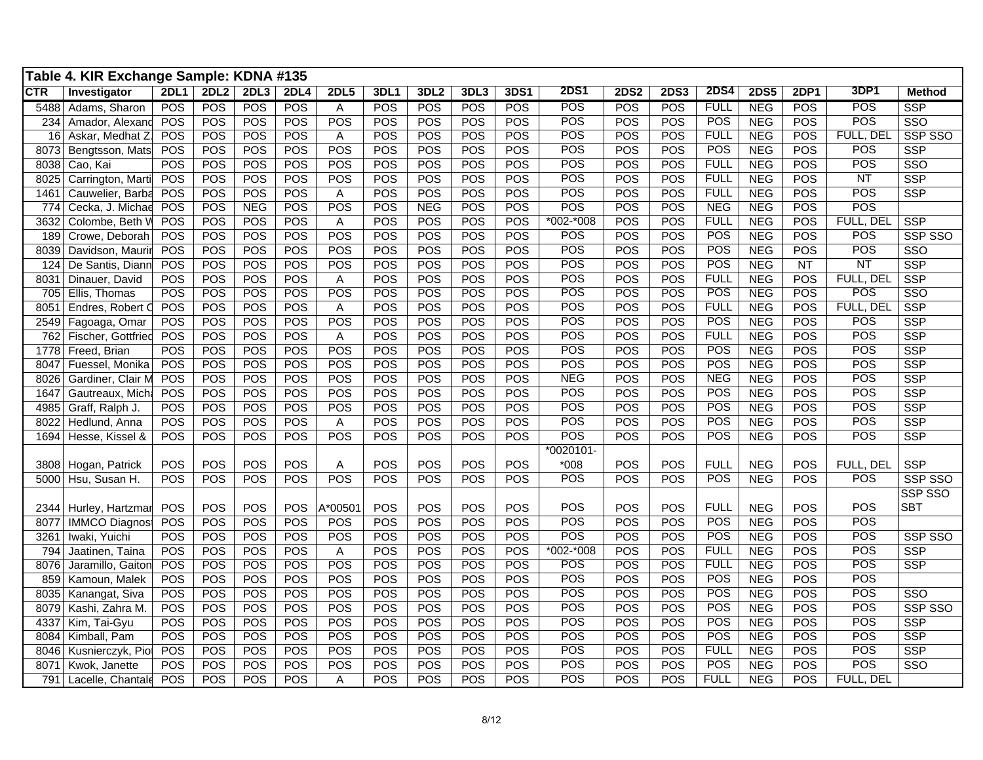|            | Table 4. KIR Exchange Sample: KDNA #135 |             |      |            |            |             |             |                  |            |            |               |             |             |             |             |            |                  |                         |
|------------|-----------------------------------------|-------------|------|------------|------------|-------------|-------------|------------------|------------|------------|---------------|-------------|-------------|-------------|-------------|------------|------------------|-------------------------|
| <b>CTR</b> | Investigator                            | <b>2DL1</b> | 2DL2 | 2DL3       | 2DL4       | <b>2DL5</b> | <b>3DL1</b> | 3DL <sub>2</sub> | 3DL3       | 3DS1       | <b>2DS1</b>   | <b>2DS2</b> | <b>2DS3</b> | <b>2DS4</b> | <b>2DS5</b> | 2DP1       | 3DP1             | <b>Method</b>           |
| 5488       | Adams, Sharon                           | POS         | POS  | POS        | <b>POS</b> | Α           | <b>POS</b>  | <b>POS</b>       | <b>POS</b> | <b>POS</b> | <b>POS</b>    | POS         | POS         | <b>FULL</b> | <b>NEG</b>  | <b>POS</b> | POS              | SSP                     |
| 234        | Amador, Alexand                         | POS         | POS  | POS        | POS        | POS         | <b>POS</b>  | <b>POS</b>       | POS        | <b>POS</b> | POS           | POS         | POS         | <b>POS</b>  | <b>NEG</b>  | POS        | POS              | SSO                     |
| 16         | Askar, Medhat Z                         | POS         | POS  | POS        | POS        | Α           | POS         | POS              | POS        | POS        | POS           | POS         | POS         | <b>FULL</b> | <b>NEG</b>  | POS        | <b>FULL, DEL</b> | SSP SSO                 |
| 8073       | Bengtsson, Mats                         | POS         | POS  | POS        | POS        | POS         | POS         | <b>POS</b>       | POS        | <b>POS</b> | POS           | POS         | POS         | POS         | <b>NEG</b>  | POS        | POS              | <b>SSP</b>              |
| 8038       | Cao, Kai                                | POS         | POS  | POS        | POS        | POS         | <b>POS</b>  | POS              | POS        | POS        | POS           | POS         | POS         | <b>FULL</b> | <b>NEG</b>  | POS        | POS              | $\overline{\text{SSO}}$ |
| 8025       | Carrington, Marti                       | POS         | POS  | POS        | POS        | POS         | POS         | POS              | POS        | POS        | POS           | POS         | POS         | <b>FULL</b> | <b>NEG</b>  | POS        | NT               | <b>SSP</b>              |
| 1461       | Cauwelier, Barba                        | POS         | POS  | POS        | POS        | Α           | POS         | POS              | POS        | <b>POS</b> | POS           | POS         | POS         | <b>FULL</b> | <b>NEG</b>  | POS        | <b>POS</b>       | <b>SSP</b>              |
| 774        | Cecka, J. Michae                        | POS         | POS  | <b>NEG</b> | POS        | POS         | <b>POS</b>  | <b>NEG</b>       | <b>POS</b> | POS        | POS           | POS         | POS         | <b>NEG</b>  | <b>NEG</b>  | POS        | POS              |                         |
| 3632       | Colombe, Beth V                         | POS         | POS  | POS        | POS        | Α           | POS         | POS              | POS        | POS        | $*002 - *008$ | POS         | POS         | <b>FULL</b> | <b>NEG</b>  | POS        | FULL, DEL        | <b>SSP</b>              |
| 189        | Crowe, Deborah                          | POS         | POS  | POS        | POS        | POS         | POS         | POS              | <b>POS</b> | <b>POS</b> | POS           | POS         | POS         | POS         | <b>NEG</b>  | POS        | <b>POS</b>       | SSP SSO                 |
| 8039       | Davidson, Maurir                        | POS         | POS  | POS        | POS        | POS         | <b>POS</b>  | POS              | POS        | POS        | POS           | POS         | POS         | <b>POS</b>  | NEG         | <b>POS</b> | <b>POS</b>       | SSO                     |
| 124        | De Santis, Diann                        | POS         | POS  | POS        | POS        | POS         | POS         | POS              | POS        | POS        | POS           | POS         | POS         | POS         | <b>NEG</b>  | <b>NT</b>  | NT               | <b>SSP</b>              |
| 8031       | Dinauer, David                          | POS         | POS  | POS        | POS        | A           | POS         | POS              | POS        | POS        | POS           | POS         | POS         | <b>FULL</b> | <b>NEG</b>  | POS        | FULL, DEL        | <b>SSP</b>              |
| 705        | Ellis, Thomas                           | POS         | POS  | POS        | POS        | POS         | POS         | POS              | POS        | POS        | POS           | POS         | POS         | POS         | <b>NEG</b>  | POS        | POS              | SSO                     |
| 8051       | Endres, Robert C                        | POS         | POS  | POS        | POS        | Α           | POS         | POS              | POS        | POS        | POS           | POS         | POS         | <b>FULL</b> | <b>NEG</b>  | POS        | FULL, DEL        | <b>SSP</b>              |
| 2549       | Fagoaga, Omar                           | POS         | POS  | POS        | POS        | POS         | <b>POS</b>  | <b>POS</b>       | POS        | <b>POS</b> | POS           | POS         | POS         | POS         | <b>NEG</b>  | POS        | POS              | <b>SSP</b>              |
| 762        | Fischer, Gottfried                      | POS         | POS  | POS        | POS        | A           | <b>POS</b>  | <b>POS</b>       | POS        | <b>POS</b> | POS           | POS         | POS         | <b>FULL</b> | <b>NEG</b>  | POS        | POS              | <b>SSP</b>              |
| 1778       | Freed, Brian                            | POS         | POS  | POS        | POS        | POS         | POS         | POS              | POS        | <b>POS</b> | POS           | POS         | POS         | POS         | <b>NEG</b>  | POS        | POS              | <b>SSP</b>              |
| 8047       | Fuessel, Monika                         | POS         | POS  | POS        | POS        | POS         | <b>POS</b>  | POS              | POS        | POS        | POS           | POS         | POS         | POS         | NEG         | POS        | POS              | <b>SSP</b>              |
| 8026       | Gardiner, Clair M                       | POS         | POS  | POS        | POS        | POS         | POS         | <b>POS</b>       | POS        | POS        | <b>NEG</b>    | POS         | POS         | <b>NEG</b>  | <b>NEG</b>  | POS        | POS              | <b>SSP</b>              |
| 1647       | Gautreaux, Micha                        | POS         | POS  | POS        | POS        | POS         | POS         | POS              | POS        | POS        | POS           | POS         | POS         | <b>POS</b>  | <b>NEG</b>  | POS        | <b>POS</b>       | <b>SSP</b>              |
| 4985       | Graff, Ralph J.                         | POS         | POS  | POS        | POS        | POS         | POS         | POS              | POS        | POS        | POS           | POS         | POS         | <b>POS</b>  | <b>NEG</b>  | POS        | POS              | <b>SSP</b>              |
| 8022       | Hedlund, Anna                           | POS         | POS  | POS        | POS        | A           | POS         | POS              | POS        | <b>POS</b> | POS           | POS         | POS         | POS         | <b>NEG</b>  | POS        | POS              | <b>SSP</b>              |
| 1694       | Hesse, Kissel &                         | POS         | POS  | POS        | POS        | POS         | POS         | <b>POS</b>       | <b>POS</b> | <b>POS</b> | POS           | POS         | POS         | <b>POS</b>  | <b>NEG</b>  | POS        | <b>POS</b>       | <b>SSP</b>              |
|            |                                         |             |      |            |            |             |             |                  |            |            | $*0020101-$   |             |             |             |             |            |                  |                         |
|            | 3808 Hogan, Patrick                     | POS         | POS  | POS        | POS        | Α           | <b>POS</b>  | POS              | POS        | <b>POS</b> | $*008$        | POS         | POS         | <b>FULL</b> | <b>NEG</b>  | POS        | FULL, DEL        | SSP                     |
| 5000       | Hsu, Susan H.                           | POS         | POS  | POS        | POS        | POS         | POS         | POS              | POS        | <b>POS</b> | POS           | POS         | POS         | POS         | <b>NEG</b>  | POS        | POS              | SSP SSO                 |
|            |                                         |             |      |            |            |             |             |                  |            |            |               |             |             |             |             |            |                  | SSP SSO                 |
|            | 2344 Hurley, Hartzmar                   | POS         | POS  | POS        | POS        | A*00501     | <b>POS</b>  | POS              | POS        | <b>POS</b> | POS           | POS         | POS         | <b>FULL</b> | <b>NEG</b>  | POS        | POS              | <b>SBT</b>              |
| 8077       | <b>IMMCO Diagnos</b>                    | POS         | POS  | POS        | POS        | POS         | <b>POS</b>  | <b>POS</b>       | POS        | <b>POS</b> | POS           | POS         | POS         | POS         | <b>NEG</b>  | POS        | <b>POS</b>       |                         |
| 3261       | Iwaki, Yuichi                           | POS         | POS  | POS        | POS        | POS         | <b>POS</b>  | <b>POS</b>       | POS        | <b>POS</b> | POS           | POS         | POS         | <b>POS</b>  | <b>NEG</b>  | POS        | <b>POS</b>       | SSP SSO                 |
| 794        | Jaatinen, Taina                         | POS         | POS  | POS        | POS        | Α           | POS         | POS              | POS        | POS        | $*002 - *008$ | POS         | POS         | <b>FULL</b> | <b>NEG</b>  | POS        | POS              | <b>SSP</b>              |
| 8076       | Jaramillo, Gaiton                       | POS         | POS  | POS        | POS        | POS         | <b>POS</b>  | POS              | POS        | <b>POS</b> | POS           | POS         | POS         | <b>FULL</b> | <b>NEG</b>  | POS        | POS              | <b>SSP</b>              |
| 859        | Kamoun, Malek                           | POS         | POS  | POS        | POS        | POS         | POS         | POS              | POS        | POS        | POS           | POS         | POS         | POS         | <b>NEG</b>  | POS        | <b>POS</b>       |                         |
| 8035       | Kanangat, Siva                          | POS         | POS  | POS        | POS        | POS         | POS         | POS              | POS        | POS        | POS           | POS         | POS         | POS         | <b>NEG</b>  | POS        | POS              | $\overline{\text{SSO}}$ |
| 8079       | Kashi, Zahra M.                         | POS         | POS  | POS        | POS        | POS         | POS         | POS              | POS        | POS        | POS           | POS         | POS         | <b>POS</b>  | <b>NEG</b>  | POS        | POS              | SSP SSO                 |
| 4337       | Kim, Tai-Gyu                            | POS         | POS  | POS        | POS        | POS         | POS         | POS              | POS        | <b>POS</b> | POS           | POS         | POS         | POS         | <b>NEG</b>  | POS        | POS              | <b>SSP</b>              |
| 8084       | Kimball, Pam                            | POS         | POS  | POS        | POS        | POS         | <b>POS</b>  | POS              | POS        | <b>POS</b> | POS           | POS         | POS         | POS         | <b>NEG</b>  | POS        | POS              | <b>SSP</b>              |
| 8046       | Kusnierczyk, Pio                        | POS         | POS  | POS        | POS        | POS         | POS         | POS              | POS        | POS        | POS           | POS         | POS         | <b>FULL</b> | <b>NEG</b>  | POS        | POS              | <b>SSP</b>              |
| 8071       | Kwok, Janette                           | POS         | POS  | POS        | POS        | POS         | POS         | POS              | POS        | POS        | POS           | POS         | POS         | POS         | <b>NEG</b>  | POS        | POS              | SSO                     |
|            | 791 Lacelle, Chantale                   | POS         | POS  | POS        | POS        | A           | <b>POS</b>  | POS              | POS        | <b>POS</b> | POS           | POS         | POS         | <b>FULL</b> | <b>NEG</b>  | POS        | FULL, DEL        |                         |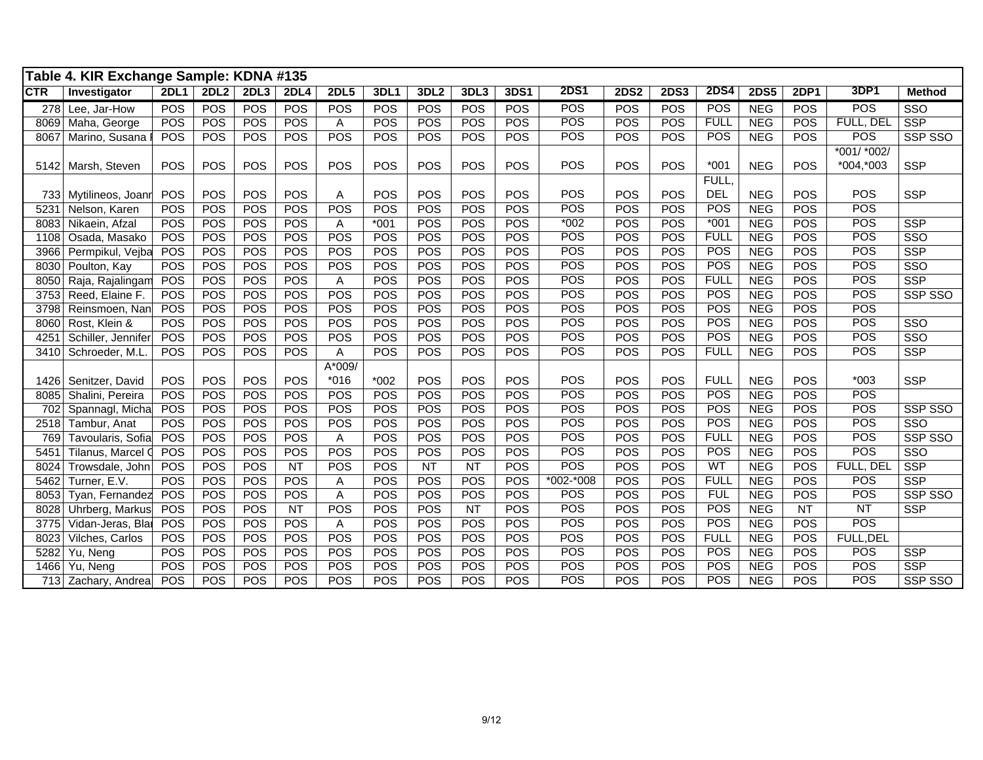|            | Table 4. KIR Exchange Sample: KDNA #135 |             |            |            |                 |             |            |                  |            |            |               |             |             |             |             |             |             |                         |
|------------|-----------------------------------------|-------------|------------|------------|-----------------|-------------|------------|------------------|------------|------------|---------------|-------------|-------------|-------------|-------------|-------------|-------------|-------------------------|
| <b>CTR</b> | Investigator                            | <b>2DL1</b> | 2DL2       | 2DL3       | 2DL4            | <b>2DL5</b> | 3DL1       | 3DL <sub>2</sub> | 3DL3       | 3DS1       | <b>2DS1</b>   | <b>2DS2</b> | <b>2DS3</b> | <b>2DS4</b> | <b>2DS5</b> | <b>2DP1</b> | <b>3DP1</b> | <b>Method</b>           |
| 278        | Lee, Jar-How                            | <b>POS</b>  | POS        | <b>POS</b> | POS             | <b>POS</b>  | POS        | <b>POS</b>       | <b>POS</b> | <b>POS</b> | POS           | POS         | <b>POS</b>  | POS         | <b>NEG</b>  | <b>POS</b>  | POS         | SSO                     |
| 8069       | Maha, George                            | <b>POS</b>  | POS        | <b>POS</b> | POS             | Α           | <b>POS</b> | <b>POS</b>       | POS        | <b>POS</b> | POS           | <b>POS</b>  | POS         | <b>FULL</b> | <b>NEG</b>  | <b>POS</b>  | FULL, DEL   | <b>SSP</b>              |
| 8067       | Marino, Susana                          | <b>POS</b>  | <b>POS</b> | <b>POS</b> | POS             | POS         | <b>POS</b> | <b>POS</b>       | <b>POS</b> | <b>POS</b> | POS           | <b>POS</b>  | POS         | <b>POS</b>  | <b>NEG</b>  | <b>POS</b>  | <b>POS</b>  | SSP SSO                 |
|            |                                         |             |            |            |                 |             |            |                  |            |            |               |             |             |             |             |             | *001/ *002/ |                         |
| 5142       | Marsh, Steven                           | <b>POS</b>  | POS        | <b>POS</b> | POS             | POS         | <b>POS</b> | <b>POS</b>       | POS        | <b>POS</b> | POS           | POS         | <b>POS</b>  | $*001$      | <b>NEG</b>  | <b>POS</b>  | *004,*003   | <b>SSP</b>              |
|            |                                         |             |            |            |                 |             |            |                  |            |            |               |             |             | FULL,       |             |             |             |                         |
| 733        | Mytilineos, Joanr                       | POS         | POS        | POS        | POS             | Α           | <b>POS</b> | <b>POS</b>       | POS        | POS        | POS           | POS         | POS         | <b>DEL</b>  | <b>NEG</b>  | POS         | POS         | <b>SSP</b>              |
| 5231       | Nelson, Karen                           | <b>POS</b>  | POS        | POS        | POS             | POS         | <b>POS</b> | <b>POS</b>       | <b>POS</b> | POS        | POS           | POS         | POS         | POS         | <b>NEG</b>  | <b>POS</b>  | POS         |                         |
| 8083       | Nikaein, Afzal                          | <b>POS</b>  | POS        | <b>POS</b> | POS             | A           | $*001$     | <b>POS</b>       | <b>POS</b> | <b>POS</b> | $*002$        | <b>POS</b>  | POS         | $*001$      | <b>NEG</b>  | <b>POS</b>  | POS         | <b>SSP</b>              |
| 1108       | Osada, Masako                           | <b>POS</b>  | POS        | POS        | POS             | POS         | POS        | <b>POS</b>       | POS        | <b>POS</b> | POS           | <b>POS</b>  | POS         | <b>FULL</b> | <b>NEG</b>  | <b>POS</b>  | POS         | $\overline{\text{SSO}}$ |
| 3966       | Permpikul, Vejba                        | POS         | POS        | <b>POS</b> | POS             | POS         | <b>POS</b> | <b>POS</b>       | <b>POS</b> | POS        | POS           | POS         | POS         | <b>POS</b>  | <b>NEG</b>  | <b>POS</b>  | POS         | <b>SSP</b>              |
| 8030       | Poulton, Kay                            | POS         | POS        | POS        | POS             | POS         | POS        | <b>POS</b>       | POS        | POS        | POS           | POS         | POS         | POS         | <b>NEG</b>  | POS         | POS         | $\overline{\text{SSO}}$ |
| 8050       | Raja, Rajalingam                        | POS         | POS        | POS        | POS             | Α           | POS        | <b>POS</b>       | POS        | POS        | POS           | POS         | POS         | <b>FULL</b> | <b>NEG</b>  | <b>POS</b>  | POS         | <b>SSP</b>              |
| 3753       | Reed, Elaine F.                         | POS         | POS        | <b>POS</b> | POS             | POS         | POS        | POS              | POS        | <b>POS</b> | POS           | POS         | POS         | POS         | <b>NEG</b>  | <b>POS</b>  | POS         | SSP SSO                 |
| 3798       | Reinsmoen, Nan                          | POS         | POS        | <b>POS</b> | POS             | POS         | <b>POS</b> | <b>POS</b>       | <b>POS</b> | <b>POS</b> | POS           | <b>POS</b>  | POS         | <b>POS</b>  | <b>NEG</b>  | <b>POS</b>  | POS         |                         |
| 8060       | Rost, Klein &                           | <b>POS</b>  | POS        | <b>POS</b> | POS             | POS         | <b>POS</b> | <b>POS</b>       | <b>POS</b> | <b>POS</b> | POS           | <b>POS</b>  | POS         | <b>POS</b>  | <b>NEG</b>  | <b>POS</b>  | POS         | SSO                     |
| 4251       | Schiller, Jennifer                      | POS         | POS        | <b>POS</b> | POS             | POS         | <b>POS</b> | <b>POS</b>       | POS        | <b>POS</b> | POS           | POS         | POS         | <b>POS</b>  | <b>NEG</b>  | <b>POS</b>  | POS         | SSO                     |
| 3410       | Schroeder, M.L.                         | <b>POS</b>  | POS        | <b>POS</b> | POS             | Α           | POS        | POS              | <b>POS</b> | <b>POS</b> | <b>POS</b>    | POS         | POS         | <b>FULL</b> | <b>NEG</b>  | <b>POS</b>  | POS         | <b>SSP</b>              |
|            |                                         |             |            |            |                 | A*009/      |            |                  |            |            |               |             |             |             |             |             |             |                         |
| 1426       | Senitzer, David                         | POS         | POS        | <b>POS</b> | POS             | $*016$      | $*002$     | <b>POS</b>       | <b>POS</b> | POS        | POS           | POS         | <b>POS</b>  | <b>FULL</b> | <b>NEG</b>  | POS         | $*003$      | <b>SSP</b>              |
| 8085       | Shalini, Pereira                        | POS         | POS        | POS        | POS             | POS         | POS        | POS              | POS        | POS        | <b>POS</b>    | POS         | POS         | <b>POS</b>  | <b>NEG</b>  | POS         | POS         |                         |
| 702        | Spannagl, Micha                         | POS         | POS        | POS        | POS             | POS         | <b>POS</b> | <b>POS</b>       | POS        | <b>POS</b> | <b>POS</b>    | POS         | <b>POS</b>  | POS         | <b>NEG</b>  | <b>POS</b>  | POS         | SSP SSO                 |
| 2518       | Tambur, Anat                            | <b>POS</b>  | POS        | POS        | POS             | POS         | <b>POS</b> | <b>POS</b>       | POS        | <b>POS</b> | <b>POS</b>    | <b>POS</b>  | <b>POS</b>  | <b>POS</b>  | <b>NEG</b>  | <b>POS</b>  | <b>POS</b>  | SSO                     |
| 769        | Tavoularis, Sofia                       | POS         | POS        | POS        | POS             | A           | POS        | <b>POS</b>       | POS        | POS        | POS           | POS         | POS         | <b>FULL</b> | <b>NEG</b>  | <b>POS</b>  | POS         | SSP SSO                 |
| 5451       | Tilanus, Marcel Q                       | POS         | POS        | POS        | POS             | POS         | <b>POS</b> | POS              | POS        | <b>POS</b> | POS           | POS         | POS         | POS         | <b>NEG</b>  | <b>POS</b>  | POS         | SSO                     |
| 8024       | Trowsdale, John                         | POS         | POS        | POS        | <b>NT</b>       | POS         | POS        | $\overline{NT}$  | NT         | <b>POS</b> | POS           | POS         | POS         | WT          | <b>NEG</b>  | POS         | FULL, DEL   | <b>SSP</b>              |
| 5462       | Turner, E.V.                            | <b>POS</b>  | POS        | POS        | POS             | Α           | POS        | POS              | POS        | <b>POS</b> | $*002 - *008$ | POS         | POS         | <b>FULL</b> | <b>NEG</b>  | <b>POS</b>  | POS         | <b>SSP</b>              |
| 8053       | Tyan, Fernandez                         | POS         | POS        | POS        | POS             | A           | POS        | POS              | POS        | POS        | POS           | POS         | POS         | <b>FUL</b>  | <b>NEG</b>  | <b>POS</b>  | POS         | SSP SSO                 |
| 8028       | Uhrberg, Markus                         | POS         | POS        | POS        | $\overline{NT}$ | POS         | <b>POS</b> | <b>POS</b>       | <b>NT</b>  | <b>POS</b> | POS           | <b>POS</b>  | POS         | POS         | <b>NEG</b>  | <b>NT</b>   | <b>NT</b>   | <b>SSP</b>              |
| 3775       | Vidan-Jeras, Blai                       | POS         | POS        | POS        | POS             | Α           | <b>POS</b> | POS              | <b>POS</b> | POS        | POS           | POS         | POS         | POS         | <b>NEG</b>  | <b>POS</b>  | POS         |                         |
| 8023       | Vilches, Carlos                         | <b>POS</b>  | POS        | POS        | POS             | POS         | POS        | <b>POS</b>       | POS        | POS        | POS           | POS         | POS         | <b>FULL</b> | <b>NEG</b>  | POS         | FULL, DEL   |                         |
| 5282       | Yu, Neng                                | POS         | POS        | POS        | POS             | POS         | POS        | <b>POS</b>       | POS        | POS        | POS           | POS         | POS         | POS         | <b>NEG</b>  | POS         | POS         | <b>SSP</b>              |
| 1466       | Yu, Neng                                | <b>POS</b>  | POS        | POS        | POS             | POS         | <b>POS</b> | <b>POS</b>       | POS        | <b>POS</b> | POS           | POS         | POS         | POS         | <b>NEG</b>  | <b>POS</b>  | POS         | <b>SSP</b>              |
|            | 713 Zachary, Andrea                     | POS         | POS        | POS        | POS             | POS         | POS        | <b>POS</b>       | POS        | <b>POS</b> | POS           | POS         | POS         | <b>POS</b>  | <b>NEG</b>  | <b>POS</b>  | POS         | SSP SSO                 |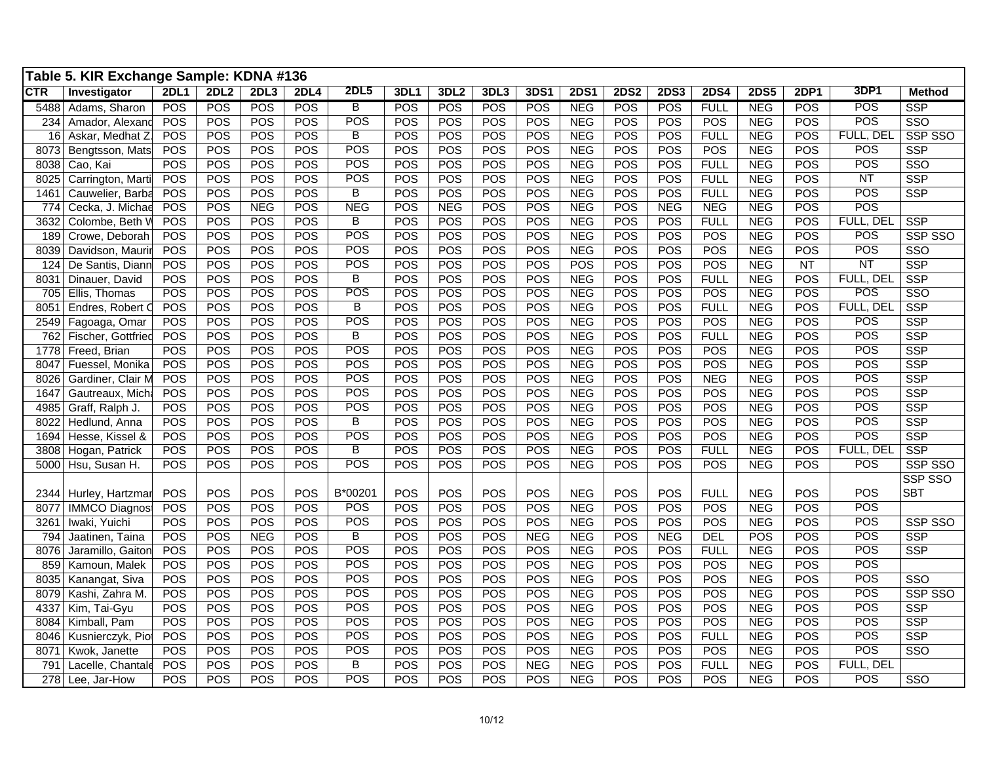|            | Table 5. KIR Exchange Sample: KDNA #136 |             |                  |            |            |                |      |                  |            |            |             |             |             |             |             |           |            |                         |
|------------|-----------------------------------------|-------------|------------------|------------|------------|----------------|------|------------------|------------|------------|-------------|-------------|-------------|-------------|-------------|-----------|------------|-------------------------|
| <b>CTR</b> | Investigator                            | <b>2DL1</b> | 2DL <sub>2</sub> | 2DL3       | 2DL4       | 2DL5           | 3DL1 | 3DL <sub>2</sub> | 3DL3       | 3DS1       | <b>2DS1</b> | <b>2DS2</b> | <b>2DS3</b> | <b>2DS4</b> | <b>2DS5</b> | 2DP1      | 3DP1       | <b>Method</b>           |
| 5488       | Adams, Sharon                           | <b>POS</b>  | <b>POS</b>       | POS        | <b>POS</b> | B              | POS  | POS              | <b>POS</b> | <b>POS</b> | <b>NEG</b>  | <b>POS</b>  | <b>POS</b>  | <b>FULL</b> | <b>NEG</b>  | POS       | POS        | <b>SSP</b>              |
| 234        | Amador, Alexand                         | POS         | POS              | POS        | POS        | POS            | POS  | POS              | <b>POS</b> | POS        | <b>NEG</b>  | POS         | <b>POS</b>  | <b>POS</b>  | <b>NEG</b>  | POS       | POS        | SSO                     |
| 16         | Askar, Medhat Z                         | POS         | POS              | POS        | POS        | $\overline{B}$ | POS  | POS              | POS        | POS        | <b>NEG</b>  | POS         | POS         | <b>FULL</b> | <b>NEG</b>  | POS       | FULL, DEL  | SSP SSO                 |
| 8073       | Bengtsson, Mats                         | POS         | POS              | POS        | <b>POS</b> | <b>POS</b>     | POS  | POS              | POS        | POS        | <b>NEG</b>  | <b>POS</b>  | <b>POS</b>  | POS         | <b>NEG</b>  | POS       | POS        | <b>SSP</b>              |
| 8038       | Cao, Kai                                | POS         | POS              | POS        | POS        | POS            | POS  | POS              | POS        | POS        | <b>NEG</b>  | POS         | POS         | <b>FULL</b> | <b>NEG</b>  | POS       | POS        | SSO                     |
| 8025       | Carrington, Marti                       | POS         | POS              | POS        | POS        | POS            | POS  | POS              | POS        | POS        | <b>NEG</b>  | POS         | POS         | <b>FULL</b> | <b>NEG</b>  | POS       | <b>NT</b>  | <b>SSP</b>              |
| 1461       | Cauwelier, Barba                        | POS         | POS              | POS        | POS        | B              | POS  | POS              | <b>POS</b> | POS        | <b>NEG</b>  | <b>POS</b>  | <b>POS</b>  | <b>FULL</b> | <b>NEG</b>  | POS       | <b>POS</b> | <b>SSP</b>              |
| 774        | Cecka, J. Michae                        | POS         | POS              | <b>NEG</b> | POS        | <b>NEG</b>     | POS  | <b>NEG</b>       | POS        | POS        | <b>NEG</b>  | POS         | <b>NEG</b>  | <b>NEG</b>  | <b>NEG</b>  | POS       | POS        |                         |
| 3632       | Colombe, Beth V                         | POS         | POS              | POS        | POS        | $\overline{B}$ | POS  | POS              | POS        | POS        | <b>NEG</b>  | POS         | <b>POS</b>  | <b>FULL</b> | <b>NEG</b>  | POS       | FULL, DEL  | <b>SSP</b>              |
| 189        | Crowe, Deborah                          | POS         | POS              | POS        | POS        | POS            | POS  | POS              | <b>POS</b> | POS        | <b>NEG</b>  | POS         | <b>POS</b>  | POS         | <b>NEG</b>  | POS       | POS        | SSP SSO                 |
| 8039       | Davidson, Mauri                         | POS         | POS              | POS        | POS        | POS            | POS  | POS              | POS        | POS        | <b>NEG</b>  | POS         | POS         | POS         | <b>NEG</b>  | POS       | POS        | SSO                     |
| 124        | De Santis, Diann                        | POS         | POS              | POS        | POS        | <b>POS</b>     | POS  | POS              | POS        | POS        | <b>POS</b>  | <b>POS</b>  | POS         | POS         | <b>NEG</b>  | <b>NT</b> | NT         | <b>SSP</b>              |
| 8031       | Dinauer, David                          | POS         | POS              | POS        | POS        | $\overline{B}$ | POS  | POS              | <b>POS</b> | POS        | <b>NEG</b>  | POS         | <b>POS</b>  | <b>FULL</b> | <b>NEG</b>  | POS       | FULL, DEL  | SSP                     |
| 705        | Ellis, Thomas                           | POS         | POS              | POS        | POS        | POS            | POS  | POS              | POS        | POS        | <b>NEG</b>  | POS         | POS         | POS         | <b>NEG</b>  | POS       | POS        | SSO                     |
| 8051       | Endres, Robert C                        | POS         | POS              | POS        | POS        | $\overline{B}$ | POS  | POS              | POS        | POS        | <b>NEG</b>  | POS         | <b>POS</b>  | <b>FULL</b> | <b>NEG</b>  | POS       | FULL, DEL  | <b>SSP</b>              |
| 2549       | Fagoaga, Omar                           | POS         | POS              | POS        | POS        | POS            | POS  | POS              | <b>POS</b> | POS        | <b>NEG</b>  | <b>POS</b>  | <b>POS</b>  | POS         | NEG         | POS       | POS        | <b>SSP</b>              |
| 762        | Fischer, Gottfried                      | POS         | POS              | POS        | POS        | $\overline{B}$ | POS  | POS              | POS        | POS        | <b>NEG</b>  | POS         | POS         | <b>FULL</b> | <b>NEG</b>  | POS       | POS        | <b>SSP</b>              |
| 1778       | Freed, Brian                            | POS         | POS              | POS        | <b>POS</b> | <b>POS</b>     | POS  | POS              | <b>POS</b> | POS        | <b>NEG</b>  | <b>POS</b>  | <b>POS</b>  | POS         | <b>NEG</b>  | POS       | POS        | <b>SSP</b>              |
| 8047       | Fuessel, Monika                         | POS         | POS              | POS        | POS        | POS            | POS  | POS              | POS        | POS        | <b>NEG</b>  | POS         | POS         | POS         | <b>NEG</b>  | POS       | POS        | <b>SSP</b>              |
| 8026       | Gardiner, Clair M                       | POS         | POS              | POS        | POS        | POS            | POS  | POS              | <b>POS</b> | POS        | <b>NEG</b>  | POS         | <b>POS</b>  | <b>NEG</b>  | <b>NEG</b>  | POS       | POS        | <b>SSP</b>              |
| 1647       | Gautreaux, Mich                         | POS         | POS              | POS        | POS        | POS            | POS  | POS              | <b>POS</b> | POS        | <b>NEG</b>  | POS         | <b>POS</b>  | POS         | <b>NEG</b>  | POS       | <b>POS</b> | <b>SSP</b>              |
| 4985       | Graff, Ralph J.                         | POS         | POS              | POS        | POS        | POS            | POS  | POS              | POS        | POS        | <b>NEG</b>  | POS         | <b>POS</b>  | POS         | <b>NEG</b>  | POS       | POS        | <b>SSP</b>              |
| 8022       | Hedlund, Anna                           | POS         | POS              | POS        | POS        | $\overline{B}$ | POS  | POS              | POS        | POS        | <b>NEG</b>  | <b>POS</b>  | POS         | POS         | <b>NEG</b>  | POS       | POS        | <b>SSP</b>              |
| 1694       | Hesse, Kissel &                         | POS         | POS              | POS        | POS        | POS            | POS  | POS              | <b>POS</b> | POS        | <b>NEG</b>  | POS         | POS         | POS         | <b>NEG</b>  | POS       | POS        | <b>SSP</b>              |
| 3808       | Hogan, Patrick                          | POS         | POS              | POS        | POS        | $\overline{B}$ | POS  | POS              | POS        | POS        | <b>NEG</b>  | POS         | POS         | <b>FULL</b> | <b>NEG</b>  | POS       | FULL, DEL  | <b>SSP</b>              |
| 5000       | Hsu, Susan H.                           | POS         | POS              | POS        | <b>POS</b> | POS            | POS  | POS              | POS        | POS        | <b>NEG</b>  | POS         | POS         | POS         | <b>NEG</b>  | POS       | POS        | SSP SSO                 |
|            |                                         |             |                  |            |            |                |      |                  |            |            |             |             |             |             |             |           |            | SSP SSO                 |
| 2344       | Hurley, Hartzmar                        | POS         | POS              | POS        | POS        | B*00201        | POS  | POS              | POS        | POS        | <b>NEG</b>  | <b>POS</b>  | <b>POS</b>  | <b>FULL</b> | <b>NEG</b>  | POS       | POS        | <b>SBT</b>              |
| 8077       | <b>IMMCO Diagnost</b>                   | POS         | POS              | POS        | POS        | <b>POS</b>     | POS  | POS              | POS        | POS        | <b>NEG</b>  | <b>POS</b>  | POS         | POS         | <b>NEG</b>  | POS       | POS        |                         |
| 3261       | Iwaki, Yuichi                           | POS         | POS              | POS        | POS        | <b>POS</b>     | POS  | POS              | POS        | POS        | <b>NEG</b>  | POS         | POS         | POS         | <b>NEG</b>  | POS       | POS        | SSP SSO                 |
| 794        | Jaatinen, Taina                         | POS         | POS              | <b>NEG</b> | POS        | В              | POS  | POS              | POS        | <b>NEG</b> | <b>NEG</b>  | POS         | <b>NEG</b>  | <b>DEL</b>  | POS         | POS       | POS        | <b>SSP</b>              |
| 8076       | Jaramillo, Gaitor                       | POS         | POS              | POS        | POS        | <b>POS</b>     | POS  | POS              | POS        | POS        | <b>NEG</b>  | POS         | POS         | <b>FULL</b> | <b>NEG</b>  | POS       | POS        | <b>SSP</b>              |
| 859        | Kamoun, Malek                           | POS         | POS              | POS        | POS        | POS            | POS  | POS              | POS        | POS        | <b>NEG</b>  | POS         | POS         | POS         | <b>NEG</b>  | POS       | POS        |                         |
| 8035       | Kanangat, Siva                          | POS         | POS              | POS        | POS        | <b>POS</b>     | POS  | POS              | POS        | POS        | <b>NEG</b>  | POS         | POS         | <b>POS</b>  | <b>NEG</b>  | POS       | POS        | $\overline{\text{SSO}}$ |
| 8079       | Kashi, Zahra M                          | POS         | POS              | POS        | <b>POS</b> | POS            | POS  | POS              | <b>POS</b> | POS        | <b>NEG</b>  | POS         | POS         | <b>POS</b>  | <b>NEG</b>  | POS       | POS        | SSP SSO                 |
| 4337       | Kim, Tai-Gyu                            | POS         | POS              | POS        | POS        | POS            | POS  | POS              | <b>POS</b> | POS        | <b>NEG</b>  | <b>POS</b>  | POS         | <b>POS</b>  | <b>NEG</b>  | POS       | POS        | <b>SSP</b>              |
| 8084       | Kimball, Pam                            | POS         | POS              | POS        | POS        | <b>POS</b>     | POS  | POS              | <b>POS</b> | POS        | <b>NEG</b>  | POS         | <b>POS</b>  | POS         | NEG         | POS       | POS        | <b>SSP</b>              |
| 8046       | Kusnierczyk, Pio                        | POS         | POS              | POS        | POS        | POS            | POS  | POS              | POS        | POS        | <b>NEG</b>  | POS         | POS         | <b>FULL</b> | <b>NEG</b>  | POS       | POS        | <b>SSP</b>              |
| 8071       | Kwok, Janette                           | POS         | POS              | POS        | POS        | <b>POS</b>     | POS  | POS              | POS        | POS        | <b>NEG</b>  | <b>POS</b>  | <b>POS</b>  | <b>POS</b>  | <b>NEG</b>  | POS       | POS        | SSO                     |
| 791        | Lacelle, Chantale                       | POS         | POS              | POS        | POS        | $\overline{B}$ | POS  | POS              | <b>POS</b> | NEG        | <b>NEG</b>  | POS         | <b>POS</b>  | <b>FULL</b> | <b>NEG</b>  | POS       | FULL, DEL  |                         |
|            | 278 Lee, Jar-How                        | POS         | POS              | POS        | POS        | POS            | POS  | POS              | POS        | POS        | <b>NEG</b>  | POS         | POS         | <b>POS</b>  | NEG         | POS       | POS        | $\overline{\text{SSO}}$ |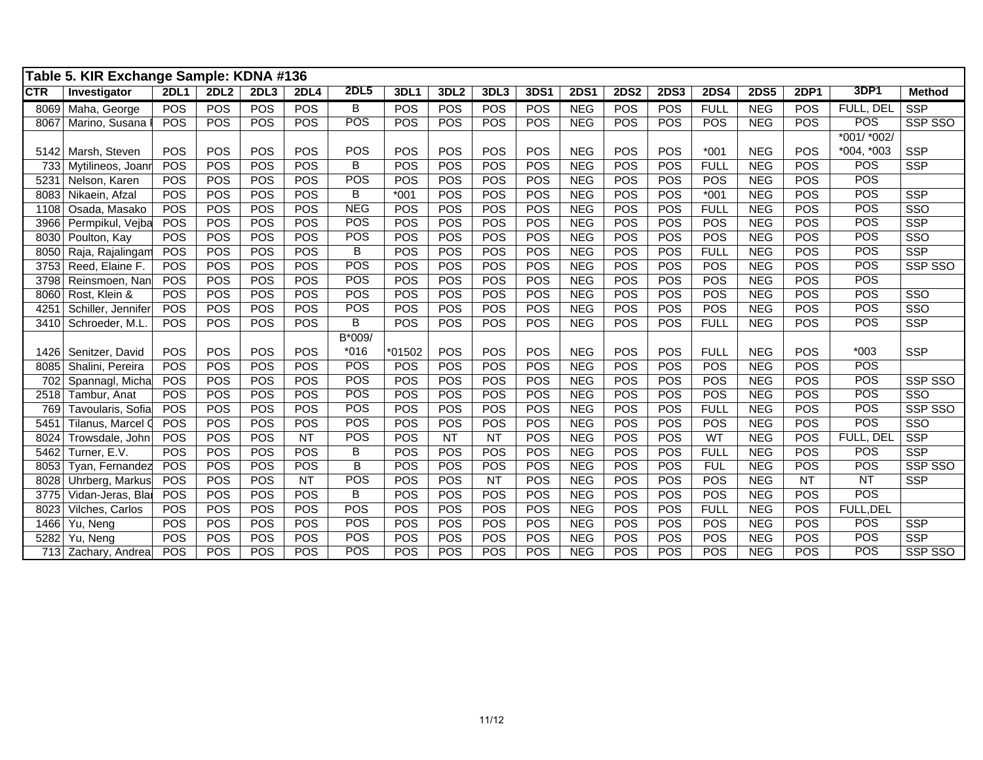|            | Table 5. KIR Exchange Sample: KDNA #136 |             |            |            |             |                         |            |                  |            |             |             |             |             |             |             |             |             |                         |
|------------|-----------------------------------------|-------------|------------|------------|-------------|-------------------------|------------|------------------|------------|-------------|-------------|-------------|-------------|-------------|-------------|-------------|-------------|-------------------------|
| <b>CTR</b> | Investigator                            | <b>2DL1</b> | 2DL2       | 2DL3       | <b>2DL4</b> | <b>2DL5</b>             | 3DL1       | 3DL <sub>2</sub> | 3DL3       | <b>3DS1</b> | <b>2DS1</b> | <b>2DS2</b> | <b>2DS3</b> | <b>2DS4</b> | <b>2DS5</b> | <b>2DP1</b> | 3DP1        | <b>Method</b>           |
| 8069       | Maha, George                            | POS         | POS        | POS        | POS         | B                       | POS        | POS              | POS        | POS         | <b>NEG</b>  | <b>POS</b>  | <b>POS</b>  | <b>FULL</b> | <b>NEG</b>  | POS         | FULL, DEL   | <b>SSP</b>              |
| 8067       | Marino, Susana                          | POS         | <b>POS</b> | POS        | <b>POS</b>  | POS                     | <b>POS</b> | <b>POS</b>       | <b>POS</b> | <b>POS</b>  | <b>NEG</b>  | <b>POS</b>  | <b>POS</b>  | <b>POS</b>  | <b>NEG</b>  | <b>POS</b>  | <b>POS</b>  | SSP SSO                 |
|            |                                         |             |            |            |             |                         |            |                  |            |             |             |             |             |             |             |             | *001/ *002/ |                         |
| 5142       | Marsh, Steven                           | POS         | POS        | <b>POS</b> | POS         | POS                     | POS        | POS              | POS        | POS         | <b>NEG</b>  | <b>POS</b>  | <b>POS</b>  | $*001$      | <b>NEG</b>  | POS         | *004, *003  | <b>SSP</b>              |
| 733        | Mytilineos, Joanr                       | POS         | POS        | POS        | POS         | B                       | POS        | POS              | POS        | <b>POS</b>  | <b>NEG</b>  | <b>POS</b>  | <b>POS</b>  | <b>FULL</b> | <b>NEG</b>  | POS         | POS         | <b>SSP</b>              |
| 5231       | Nelson, Karen                           | POS         | POS        | POS        | POS         | POS                     | POS        | <b>POS</b>       | POS        | <b>POS</b>  | <b>NEG</b>  | <b>POS</b>  | <b>POS</b>  | POS         | <b>NEG</b>  | POS         | POS         |                         |
| 8083       | Nikaein, Afzal                          | POS         | POS        | POS        | POS         | В                       | $*001$     | <b>POS</b>       | POS        | <b>POS</b>  | <b>NEG</b>  | <b>POS</b>  | POS         | $*001$      | <b>NEG</b>  | POS         | POS         | <b>SSP</b>              |
| 1108       | Osada, Masako                           | POS         | POS        | POS        | POS         | <b>NEG</b>              | POS        | POS              | POS        | <b>POS</b>  | <b>NEG</b>  | POS         | <b>POS</b>  | <b>FULL</b> | <b>NEG</b>  | <b>POS</b>  | POS         | $\overline{\text{SSO}}$ |
| 3966       | Permpikul, Vejba                        | POS         | POS        | POS        | POS         | POS                     | POS        | POS              | POS        | <b>POS</b>  | <b>NEG</b>  | <b>POS</b>  | <b>POS</b>  | POS         | <b>NEG</b>  | POS         | POS         | <b>SSP</b>              |
| 8030       | Poulton, Kay                            | POS         | POS        | POS        | POS         | <b>POS</b>              | POS        | POS              | POS        | POS         | <b>NEG</b>  | <b>POS</b>  | POS         | POS         | <b>NEG</b>  | <b>POS</b>  | POS         | SSO                     |
| 8050       | Raja, Rajalingam                        | POS         | POS        | POS        | POS         | B                       | POS        | POS              | POS        | POS         | <b>NEG</b>  | POS         | <b>POS</b>  | <b>FULL</b> | <b>NEG</b>  | <b>POS</b>  | POS         | <b>SSP</b>              |
| 3753       | Reed, Elaine F.                         | POS         | POS        | POS        | POS         | POS                     | POS        | POS              | POS        | <b>POS</b>  | <b>NEG</b>  | <b>POS</b>  | <b>POS</b>  | POS         | <b>NEG</b>  | POS         | POS         | SSP SSO                 |
| 3798       | Reinsmoen, Nan                          | POS         | POS        | POS        | POS         | POS                     | POS        | POS              | POS        | <b>POS</b>  | <b>NEG</b>  | <b>POS</b>  | <b>POS</b>  | POS         | <b>NEG</b>  | POS         | POS         |                         |
| 8060       | Rost, Klein &                           | POS         | POS        | POS        | POS         | <b>POS</b>              | POS        | <b>POS</b>       | POS        | POS         | <b>NEG</b>  | POS         | POS         | POS         | <b>NEG</b>  | POS         | POS         | $\overline{\text{SSO}}$ |
| 4251       | Schiller, Jennifer                      | POS         | POS        | POS        | POS         | POS                     | POS        | POS              | POS        | <b>POS</b>  | <b>NEG</b>  | POS         | <b>POS</b>  | POS         | <b>NEG</b>  | <b>POS</b>  | POS         | SSO                     |
| 3410       | Schroeder, M.L                          | POS         | POS        | POS        | POS         | B                       | POS        | <b>POS</b>       | POS        | <b>POS</b>  | <b>NEG</b>  | POS         | <b>POS</b>  | <b>FULL</b> | <b>NEG</b>  | <b>POS</b>  | POS         | <b>SSP</b>              |
|            |                                         |             |            |            |             | B*009/                  |            |                  |            |             |             |             |             |             |             |             |             |                         |
| 1426       | Senitzer, David                         | POS         | POS        | POS        | POS         | $*016$                  | *01502     | POS              | POS        | <b>POS</b>  | <b>NEG</b>  | POS         | POS         | <b>FULL</b> | <b>NEG</b>  | POS         | $*003$      | <b>SSP</b>              |
| 8085       | Shalini, Pereira                        | POS         | POS        | POS        | POS         | POS                     | POS        | POS              | POS        | <b>POS</b>  | <b>NEG</b>  | POS         | POS         | POS         | <b>NEG</b>  | POS         | POS         |                         |
| 702        | Spannagl, Micha                         | POS         | POS        | POS        | POS         | POS                     | POS        | <b>POS</b>       | POS        | <b>POS</b>  | <b>NEG</b>  | <b>POS</b>  | <b>POS</b>  | POS         | <b>NEG</b>  | POS         | POS         | SSP SSO                 |
| 2518       | Tambur, Anat                            | POS         | POS        | POS        | POS         | POS                     | POS        | POS              | POS        | POS         | <b>NEG</b>  | <b>POS</b>  | POS         | POS         | <b>NEG</b>  | POS         | POS         | SSO                     |
| 769        | Tavoularis, Sofia                       | POS         | POS        | POS        | POS         | <b>POS</b>              | POS        | POS              | POS        | POS         | <b>NEG</b>  | <b>POS</b>  | <b>POS</b>  | <b>FULL</b> | <b>NEG</b>  | POS         | POS         | SSP SSO                 |
| 5451       | Tilanus, Marcel C                       | POS         | POS        | POS        | POS         | <b>POS</b>              | POS        | POS              | POS        | POS         | <b>NEG</b>  | POS         | POS         | POS         | <b>NEG</b>  | <b>POS</b>  | POS         | SSO                     |
| 8024       | Trowsdale, John                         | POS         | POS        | POS        | <b>NT</b>   | <b>POS</b>              | POS        | <b>NT</b>        | <b>NT</b>  | <b>POS</b>  | <b>NEG</b>  | POS         | <b>POS</b>  | WT          | <b>NEG</b>  | POS         | FULL, DEL   | <b>SSP</b>              |
| 5462       | Turner, E.V.                            | POS         | POS        | POS        | POS         | B                       | POS        | POS              | POS        | <b>POS</b>  | <b>NEG</b>  | <b>POS</b>  | <b>POS</b>  | <b>FULL</b> | <b>NEG</b>  | POS         | <b>POS</b>  | <b>SSP</b>              |
| 8053       | Tyan, Fernandez                         | POS         | POS        | POS        | POS         | $\overline{\mathsf{B}}$ | POS        | <b>POS</b>       | POS        | POS         | <b>NEG</b>  | POS         | <b>POS</b>  | <b>FUL</b>  | <b>NEG</b>  | <b>POS</b>  | POS         | SSP SSO                 |
| 8028       | Uhrberg, Markus                         | POS         | POS        | POS        | <b>NT</b>   | POS                     | POS        | POS              | <b>NT</b>  | <b>POS</b>  | <b>NEG</b>  | POS         | POS         | POS         | <b>NEG</b>  | <b>NT</b>   | NT          | <b>SSP</b>              |
| 3775       | Vidan-Jeras, Blai                       | POS         | POS        | POS        | <b>POS</b>  | B                       | POS        | POS              | POS        | POS         | <b>NEG</b>  | <b>POS</b>  | POS         | POS         | <b>NEG</b>  | POS         | POS         |                         |
| 8023       | Vilches, Carlos                         | POS         | POS        | POS        | POS         | POS                     | POS        | POS              | POS        | POS         | <b>NEG</b>  | POS         | <b>POS</b>  | <b>FULL</b> | <b>NEG</b>  | POS         | FULL, DEL   |                         |
| 1466       | Yu, Neng                                | POS         | POS        | POS        | POS         | <b>POS</b>              | POS        | <b>POS</b>       | POS        | POS         | <b>NEG</b>  | POS         | <b>POS</b>  | POS         | <b>NEG</b>  | <b>POS</b>  | <b>POS</b>  | <b>SSP</b>              |
| 5282       | Yu, Neng                                | POS         | POS        | POS        | POS         | <b>POS</b>              | POS        | POS              | POS        | POS         | <b>NEG</b>  | POS         | <b>POS</b>  | POS         | <b>NEG</b>  | <b>POS</b>  | <b>POS</b>  | <b>SSP</b>              |
|            | 713 Zachary, Andrea                     | POS         | POS        | POS        | POS         | <b>POS</b>              | POS        | POS              | POS        | POS         | <b>NEG</b>  | POS         | <b>POS</b>  | POS         | <b>NEG</b>  | <b>POS</b>  | POS         | SSP SSO                 |